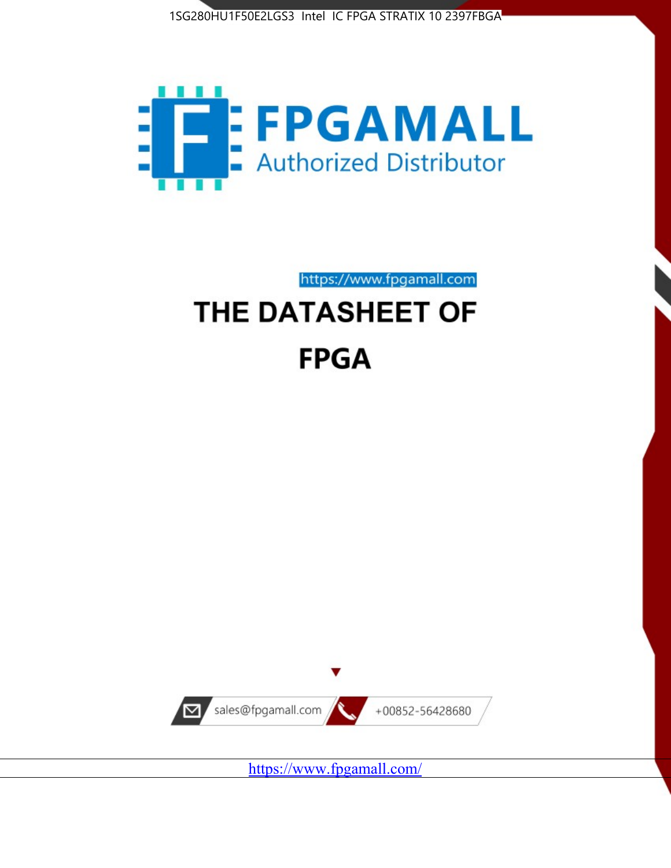



https://www.fpgamall.com

# THE DATASHEET OF **FPGA**



<https://www.fpgamall.com/>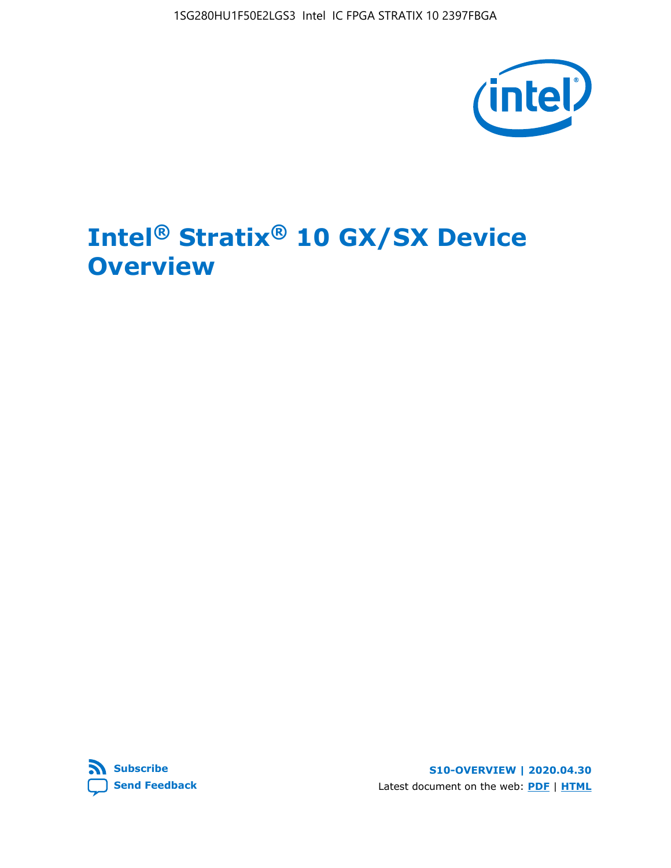1SG280HU1F50E2LGS3 Intel IC FPGA STRATIX 10 2397FBGA



# **Intel® Stratix® 10 GX/SX Device Overview**



**S10-OVERVIEW | 2020.04.30** Latest document on the web: **[PDF](https://www.intel.com/content/dam/www/programmable/us/en/pdfs/literature/hb/stratix-10/s10-overview.pdf)** | **[HTML](https://www.intel.com/content/www/us/en/programmable/documentation/joc1442261161666.html)**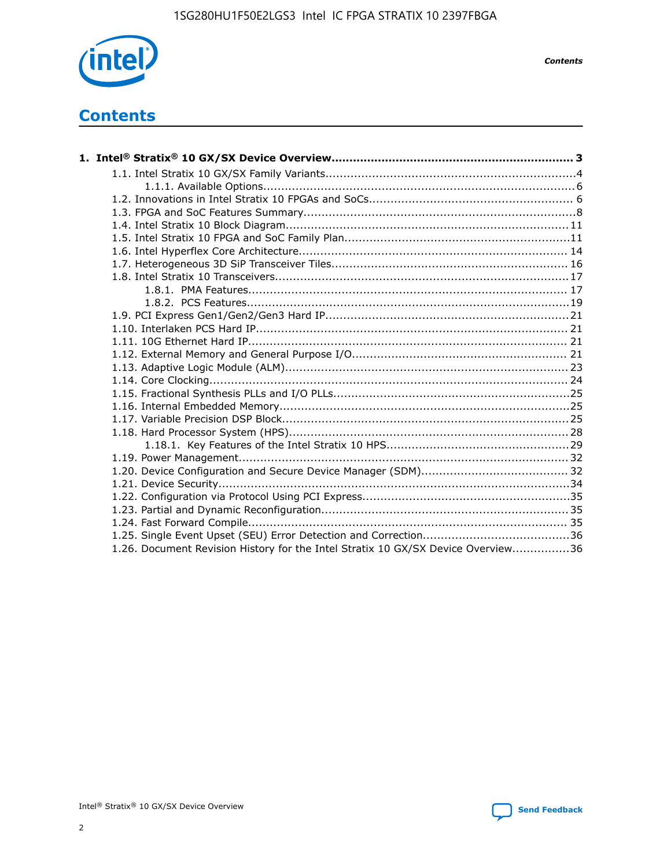

*Contents*

# **Contents**

| 1.26. Document Revision History for the Intel Stratix 10 GX/SX Device Overview36 |  |
|----------------------------------------------------------------------------------|--|

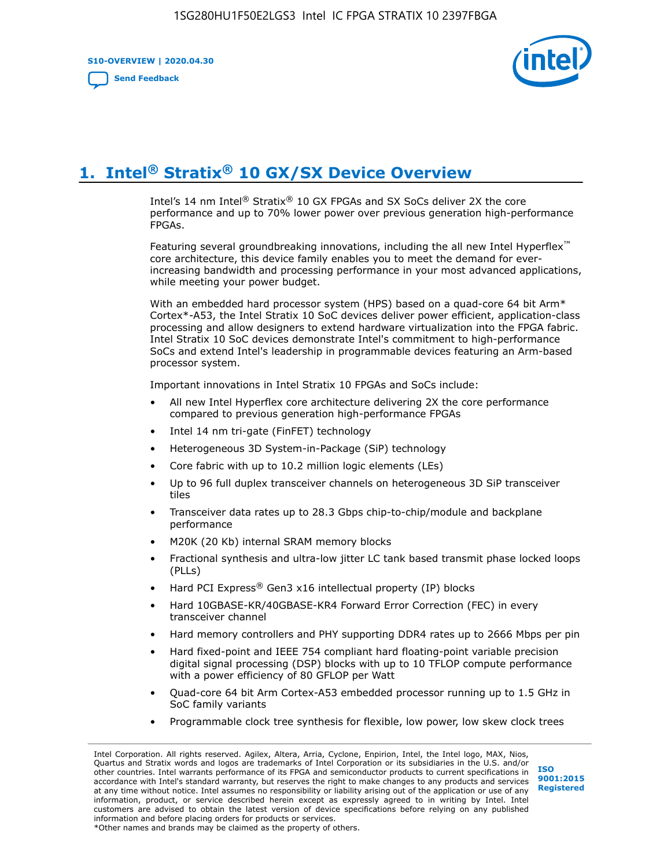**S10-OVERVIEW | 2020.04.30**

**[Send Feedback](mailto:FPGAtechdocfeedback@intel.com?subject=Feedback%20on%20Intel%20Stratix%2010%20GX/SX%20Device%20Overview%20(S10-OVERVIEW%202020.04.30)&body=We%20appreciate%20your%20feedback.%20In%20your%20comments,%20also%20specify%20the%20page%20number%20or%20paragraph.%20Thank%20you.)**



# **1. Intel® Stratix® 10 GX/SX Device Overview**

Intel's 14 nm Intel® Stratix® 10 GX FPGAs and SX SoCs deliver 2X the core performance and up to 70% lower power over previous generation high-performance FPGAs.

Featuring several groundbreaking innovations, including the all new Intel Hyperflex™ core architecture, this device family enables you to meet the demand for everincreasing bandwidth and processing performance in your most advanced applications, while meeting your power budget.

With an embedded hard processor system (HPS) based on a quad-core 64 bit Arm\* Cortex\*-A53, the Intel Stratix 10 SoC devices deliver power efficient, application-class processing and allow designers to extend hardware virtualization into the FPGA fabric. Intel Stratix 10 SoC devices demonstrate Intel's commitment to high-performance SoCs and extend Intel's leadership in programmable devices featuring an Arm-based processor system.

Important innovations in Intel Stratix 10 FPGAs and SoCs include:

- All new Intel Hyperflex core architecture delivering 2X the core performance compared to previous generation high-performance FPGAs
- Intel 14 nm tri-gate (FinFET) technology
- Heterogeneous 3D System-in-Package (SiP) technology
- Core fabric with up to 10.2 million logic elements (LEs)
- Up to 96 full duplex transceiver channels on heterogeneous 3D SiP transceiver tiles
- Transceiver data rates up to 28.3 Gbps chip-to-chip/module and backplane performance
- M20K (20 Kb) internal SRAM memory blocks
- Fractional synthesis and ultra-low jitter LC tank based transmit phase locked loops (PLLs)
- Hard PCI Express<sup>®</sup> Gen3 x16 intellectual property (IP) blocks
- Hard 10GBASE-KR/40GBASE-KR4 Forward Error Correction (FEC) in every transceiver channel
- Hard memory controllers and PHY supporting DDR4 rates up to 2666 Mbps per pin
- Hard fixed-point and IEEE 754 compliant hard floating-point variable precision digital signal processing (DSP) blocks with up to 10 TFLOP compute performance with a power efficiency of 80 GFLOP per Watt
- Quad-core 64 bit Arm Cortex-A53 embedded processor running up to 1.5 GHz in SoC family variants
- Programmable clock tree synthesis for flexible, low power, low skew clock trees

Intel Corporation. All rights reserved. Agilex, Altera, Arria, Cyclone, Enpirion, Intel, the Intel logo, MAX, Nios, Quartus and Stratix words and logos are trademarks of Intel Corporation or its subsidiaries in the U.S. and/or other countries. Intel warrants performance of its FPGA and semiconductor products to current specifications in accordance with Intel's standard warranty, but reserves the right to make changes to any products and services at any time without notice. Intel assumes no responsibility or liability arising out of the application or use of any information, product, or service described herein except as expressly agreed to in writing by Intel. Intel customers are advised to obtain the latest version of device specifications before relying on any published information and before placing orders for products or services. \*Other names and brands may be claimed as the property of others.

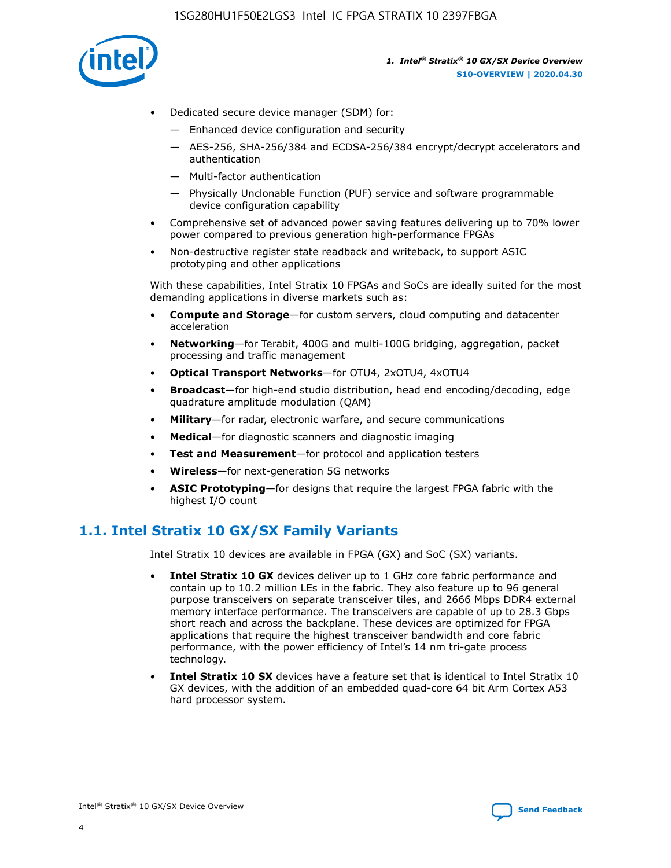

- Dedicated secure device manager (SDM) for:
	- Enhanced device configuration and security
	- AES-256, SHA-256/384 and ECDSA-256/384 encrypt/decrypt accelerators and authentication
	- Multi-factor authentication
	- Physically Unclonable Function (PUF) service and software programmable device configuration capability
- Comprehensive set of advanced power saving features delivering up to 70% lower power compared to previous generation high-performance FPGAs
- Non-destructive register state readback and writeback, to support ASIC prototyping and other applications

With these capabilities, Intel Stratix 10 FPGAs and SoCs are ideally suited for the most demanding applications in diverse markets such as:

- **Compute and Storage**—for custom servers, cloud computing and datacenter acceleration
- **Networking**—for Terabit, 400G and multi-100G bridging, aggregation, packet processing and traffic management
- **Optical Transport Networks**—for OTU4, 2xOTU4, 4xOTU4
- **Broadcast**—for high-end studio distribution, head end encoding/decoding, edge quadrature amplitude modulation (QAM)
- **Military**—for radar, electronic warfare, and secure communications
- **Medical**—for diagnostic scanners and diagnostic imaging
- **Test and Measurement**—for protocol and application testers
- **Wireless**—for next-generation 5G networks
- **ASIC Prototyping**—for designs that require the largest FPGA fabric with the highest I/O count

## **1.1. Intel Stratix 10 GX/SX Family Variants**

Intel Stratix 10 devices are available in FPGA (GX) and SoC (SX) variants.

- **Intel Stratix 10 GX** devices deliver up to 1 GHz core fabric performance and contain up to 10.2 million LEs in the fabric. They also feature up to 96 general purpose transceivers on separate transceiver tiles, and 2666 Mbps DDR4 external memory interface performance. The transceivers are capable of up to 28.3 Gbps short reach and across the backplane. These devices are optimized for FPGA applications that require the highest transceiver bandwidth and core fabric performance, with the power efficiency of Intel's 14 nm tri-gate process technology.
- **Intel Stratix 10 SX** devices have a feature set that is identical to Intel Stratix 10 GX devices, with the addition of an embedded quad-core 64 bit Arm Cortex A53 hard processor system.

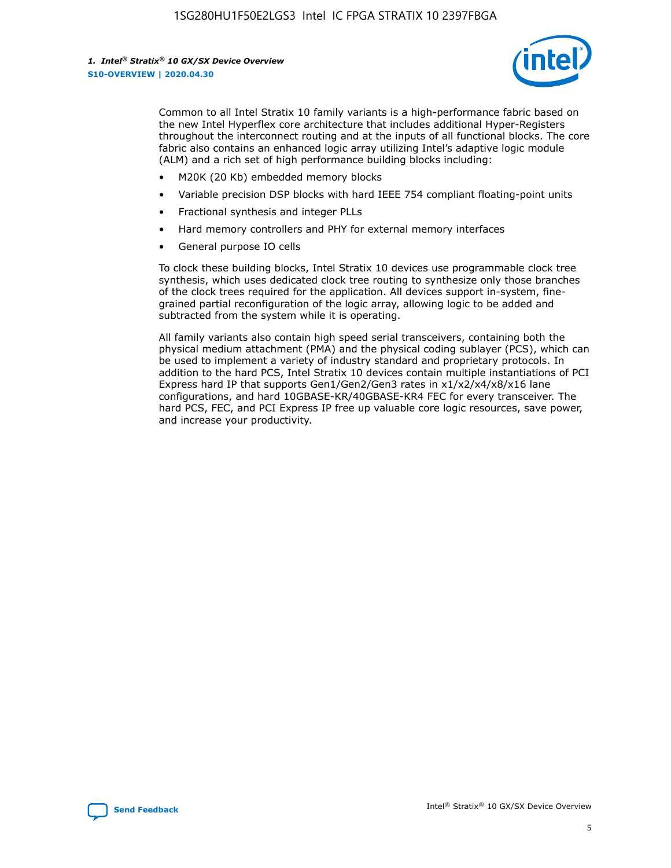

Common to all Intel Stratix 10 family variants is a high-performance fabric based on the new Intel Hyperflex core architecture that includes additional Hyper-Registers throughout the interconnect routing and at the inputs of all functional blocks. The core fabric also contains an enhanced logic array utilizing Intel's adaptive logic module (ALM) and a rich set of high performance building blocks including:

- M20K (20 Kb) embedded memory blocks
- Variable precision DSP blocks with hard IEEE 754 compliant floating-point units
- Fractional synthesis and integer PLLs
- Hard memory controllers and PHY for external memory interfaces
- General purpose IO cells

To clock these building blocks, Intel Stratix 10 devices use programmable clock tree synthesis, which uses dedicated clock tree routing to synthesize only those branches of the clock trees required for the application. All devices support in-system, finegrained partial reconfiguration of the logic array, allowing logic to be added and subtracted from the system while it is operating.

All family variants also contain high speed serial transceivers, containing both the physical medium attachment (PMA) and the physical coding sublayer (PCS), which can be used to implement a variety of industry standard and proprietary protocols. In addition to the hard PCS, Intel Stratix 10 devices contain multiple instantiations of PCI Express hard IP that supports Gen1/Gen2/Gen3 rates in x1/x2/x4/x8/x16 lane configurations, and hard 10GBASE-KR/40GBASE-KR4 FEC for every transceiver. The hard PCS, FEC, and PCI Express IP free up valuable core logic resources, save power, and increase your productivity.

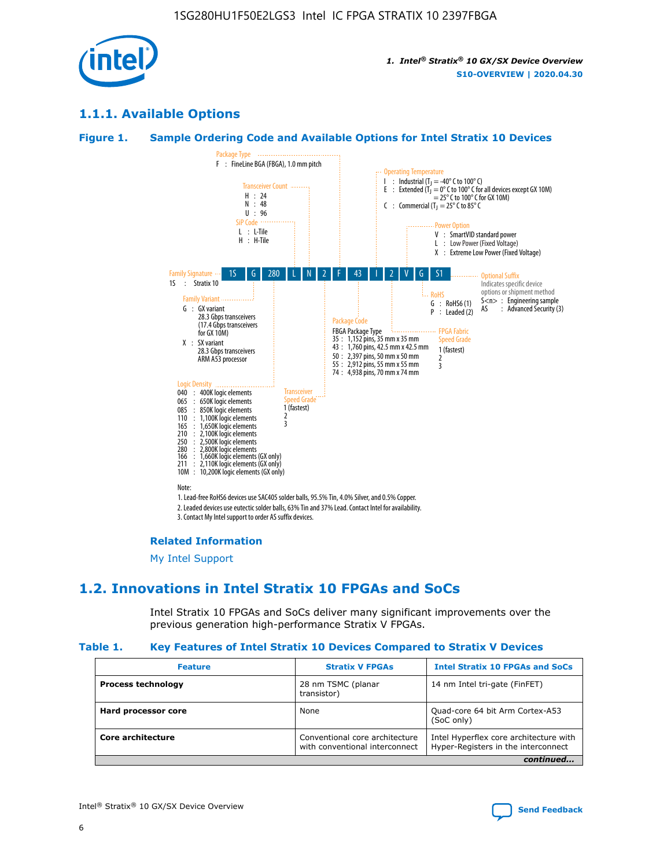

## **1.1.1. Available Options**

#### **Figure 1. Sample Ordering Code and Available Options for Intel Stratix 10 Devices**



3. Contact My Intel support to order AS suffix devices.

#### **Related Information**

[My Intel Support](https://www.intel.com/content/www/us/en/programmable/my-intel/mal-home.html)

## **1.2. Innovations in Intel Stratix 10 FPGAs and SoCs**

Intel Stratix 10 FPGAs and SoCs deliver many significant improvements over the previous generation high-performance Stratix V FPGAs.

#### **Table 1. Key Features of Intel Stratix 10 Devices Compared to Stratix V Devices**

| <b>Feature</b>            | <b>Stratix V FPGAs</b>                                           | <b>Intel Stratix 10 FPGAs and SoCs</b>                                        |  |
|---------------------------|------------------------------------------------------------------|-------------------------------------------------------------------------------|--|
| <b>Process technology</b> | 28 nm TSMC (planar<br>transistor)                                | 14 nm Intel tri-gate (FinFET)                                                 |  |
| Hard processor core       | None                                                             | Quad-core 64 bit Arm Cortex-A53<br>(SoC only)                                 |  |
| Core architecture         | Conventional core architecture<br>with conventional interconnect | Intel Hyperflex core architecture with<br>Hyper-Registers in the interconnect |  |
|                           |                                                                  | continued                                                                     |  |

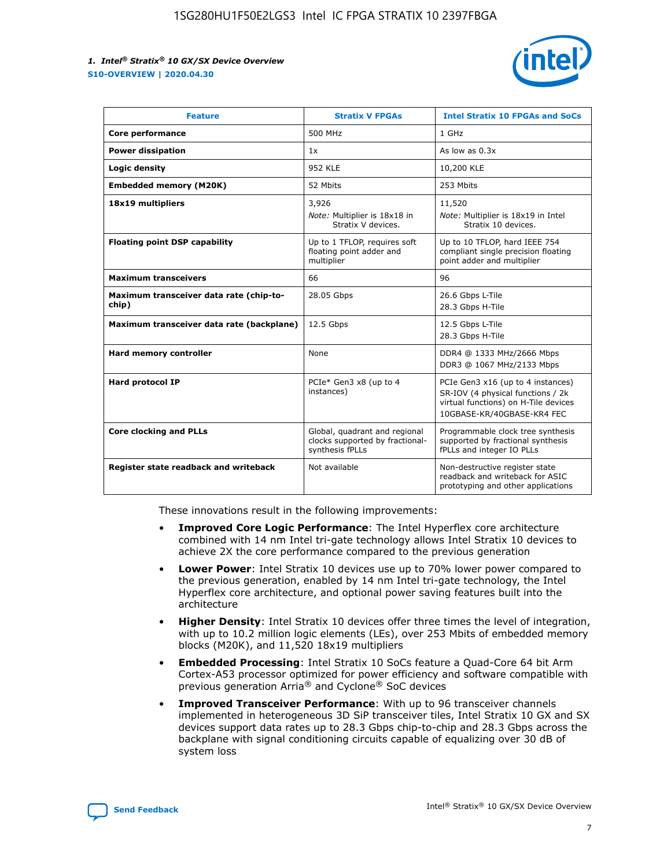

| <b>Feature</b>                                   | <b>Stratix V FPGAs</b>                                                              | <b>Intel Stratix 10 FPGAs and SoCs</b>                                                                                                       |
|--------------------------------------------------|-------------------------------------------------------------------------------------|----------------------------------------------------------------------------------------------------------------------------------------------|
| Core performance                                 | 500 MHz                                                                             | 1 GHz                                                                                                                                        |
| <b>Power dissipation</b>                         | 1x                                                                                  | As low as $0.3x$                                                                                                                             |
| Logic density                                    | 952 KLE                                                                             | 10,200 KLE                                                                                                                                   |
| <b>Embedded memory (M20K)</b>                    | 52 Mbits                                                                            | 253 Mbits                                                                                                                                    |
| 18x19 multipliers                                | 3,926<br>Note: Multiplier is 18x18 in                                               | 11,520<br>Note: Multiplier is 18x19 in Intel                                                                                                 |
|                                                  | Stratix V devices.                                                                  | Stratix 10 devices.                                                                                                                          |
| <b>Floating point DSP capability</b>             | Up to 1 TFLOP, requires soft<br>floating point adder and<br>multiplier              | Up to 10 TFLOP, hard IEEE 754<br>compliant single precision floating<br>point adder and multiplier                                           |
| <b>Maximum transceivers</b>                      | 66                                                                                  | 96                                                                                                                                           |
| Maximum transceiver data rate (chip-to-<br>chip) | 28.05 Gbps                                                                          | 26.6 Gbps L-Tile<br>28.3 Gbps H-Tile                                                                                                         |
| Maximum transceiver data rate (backplane)        | 12.5 Gbps                                                                           | 12.5 Gbps L-Tile<br>28.3 Gbps H-Tile                                                                                                         |
| Hard memory controller                           | None                                                                                | DDR4 @ 1333 MHz/2666 Mbps<br>DDR3 @ 1067 MHz/2133 Mbps                                                                                       |
| <b>Hard protocol IP</b>                          | PCIe* Gen3 x8 (up to 4<br>instances)                                                | PCIe Gen3 x16 (up to 4 instances)<br>SR-IOV (4 physical functions / 2k<br>virtual functions) on H-Tile devices<br>10GBASE-KR/40GBASE-KR4 FEC |
| <b>Core clocking and PLLs</b>                    | Global, quadrant and regional<br>clocks supported by fractional-<br>synthesis fPLLs | Programmable clock tree synthesis<br>supported by fractional synthesis<br>fPLLs and integer IO PLLs                                          |
| Register state readback and writeback            | Not available                                                                       | Non-destructive register state<br>readback and writeback for ASIC<br>prototyping and other applications                                      |

These innovations result in the following improvements:

- **Improved Core Logic Performance**: The Intel Hyperflex core architecture combined with 14 nm Intel tri-gate technology allows Intel Stratix 10 devices to achieve 2X the core performance compared to the previous generation
- **Lower Power**: Intel Stratix 10 devices use up to 70% lower power compared to the previous generation, enabled by 14 nm Intel tri-gate technology, the Intel Hyperflex core architecture, and optional power saving features built into the architecture
- **Higher Density**: Intel Stratix 10 devices offer three times the level of integration, with up to 10.2 million logic elements (LEs), over 253 Mbits of embedded memory blocks (M20K), and 11,520 18x19 multipliers
- **Embedded Processing**: Intel Stratix 10 SoCs feature a Quad-Core 64 bit Arm Cortex-A53 processor optimized for power efficiency and software compatible with previous generation Arria® and Cyclone® SoC devices
- **Improved Transceiver Performance**: With up to 96 transceiver channels implemented in heterogeneous 3D SiP transceiver tiles, Intel Stratix 10 GX and SX devices support data rates up to 28.3 Gbps chip-to-chip and 28.3 Gbps across the backplane with signal conditioning circuits capable of equalizing over 30 dB of system loss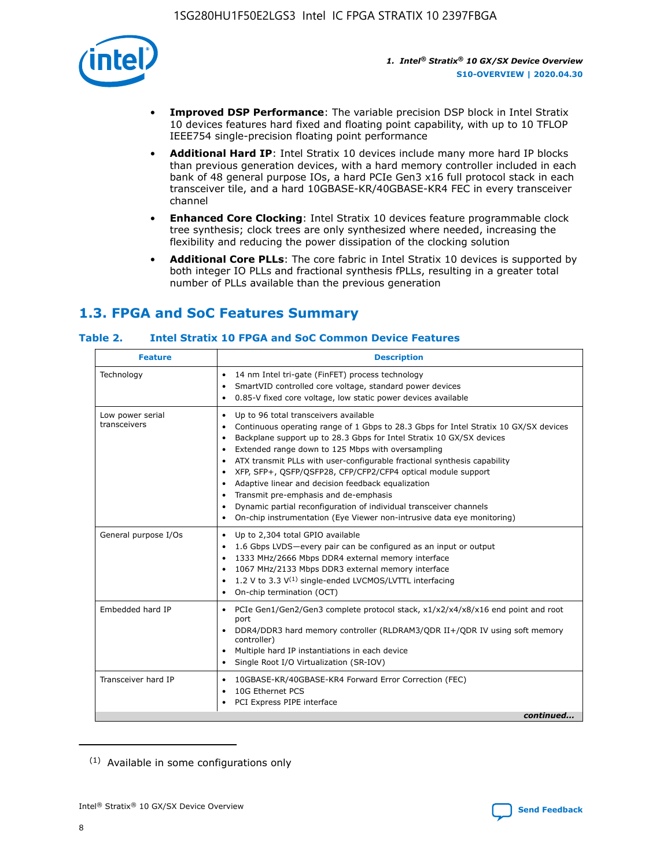

- **Improved DSP Performance**: The variable precision DSP block in Intel Stratix 10 devices features hard fixed and floating point capability, with up to 10 TFLOP IEEE754 single-precision floating point performance
- **Additional Hard IP**: Intel Stratix 10 devices include many more hard IP blocks than previous generation devices, with a hard memory controller included in each bank of 48 general purpose IOs, a hard PCIe Gen3 x16 full protocol stack in each transceiver tile, and a hard 10GBASE-KR/40GBASE-KR4 FEC in every transceiver channel
- **Enhanced Core Clocking**: Intel Stratix 10 devices feature programmable clock tree synthesis; clock trees are only synthesized where needed, increasing the flexibility and reducing the power dissipation of the clocking solution
- **Additional Core PLLs**: The core fabric in Intel Stratix 10 devices is supported by both integer IO PLLs and fractional synthesis fPLLs, resulting in a greater total number of PLLs available than the previous generation

# **1.3. FPGA and SoC Features Summary**

## **Table 2. Intel Stratix 10 FPGA and SoC Common Device Features**

| <b>Feature</b>                   | <b>Description</b>                                                                                                                                                                                                                                                                                                                                                                                                                                                                                                                                                                                                                                                                                  |
|----------------------------------|-----------------------------------------------------------------------------------------------------------------------------------------------------------------------------------------------------------------------------------------------------------------------------------------------------------------------------------------------------------------------------------------------------------------------------------------------------------------------------------------------------------------------------------------------------------------------------------------------------------------------------------------------------------------------------------------------------|
| Technology                       | 14 nm Intel tri-gate (FinFET) process technology<br>$\bullet$<br>SmartVID controlled core voltage, standard power devices<br>0.85-V fixed core voltage, low static power devices available<br>٠                                                                                                                                                                                                                                                                                                                                                                                                                                                                                                     |
| Low power serial<br>transceivers | Up to 96 total transceivers available<br>٠<br>Continuous operating range of 1 Gbps to 28.3 Gbps for Intel Stratix 10 GX/SX devices<br>Backplane support up to 28.3 Gbps for Intel Stratix 10 GX/SX devices<br>$\bullet$<br>Extended range down to 125 Mbps with oversampling<br>ATX transmit PLLs with user-configurable fractional synthesis capability<br>$\bullet$<br>XFP, SFP+, QSFP/QSFP28, CFP/CFP2/CFP4 optical module support<br>$\bullet$<br>• Adaptive linear and decision feedback equalization<br>Transmit pre-emphasis and de-emphasis<br>Dynamic partial reconfiguration of individual transceiver channels<br>On-chip instrumentation (Eye Viewer non-intrusive data eye monitoring) |
| General purpose I/Os             | Up to 2,304 total GPIO available<br>$\bullet$<br>1.6 Gbps LVDS-every pair can be configured as an input or output<br>1333 MHz/2666 Mbps DDR4 external memory interface<br>1067 MHz/2133 Mbps DDR3 external memory interface<br>• 1.2 V to 3.3 $V^{(1)}$ single-ended LVCMOS/LVTTL interfacing<br>• On-chip termination (OCT)                                                                                                                                                                                                                                                                                                                                                                        |
| Embedded hard IP                 | PCIe Gen1/Gen2/Gen3 complete protocol stack, x1/x2/x4/x8/x16 end point and root<br>$\bullet$<br>port<br>DDR4/DDR3 hard memory controller (RLDRAM3/QDR II+/QDR IV using soft memory<br>controller)<br>Multiple hard IP instantiations in each device<br>• Single Root I/O Virtualization (SR-IOV)                                                                                                                                                                                                                                                                                                                                                                                                    |
| Transceiver hard IP              | 10GBASE-KR/40GBASE-KR4 Forward Error Correction (FEC)<br>$\bullet$<br>10G Ethernet PCS<br>٠<br>PCI Express PIPE interface<br>continued                                                                                                                                                                                                                                                                                                                                                                                                                                                                                                                                                              |
|                                  |                                                                                                                                                                                                                                                                                                                                                                                                                                                                                                                                                                                                                                                                                                     |

<sup>(1)</sup> Available in some configurations only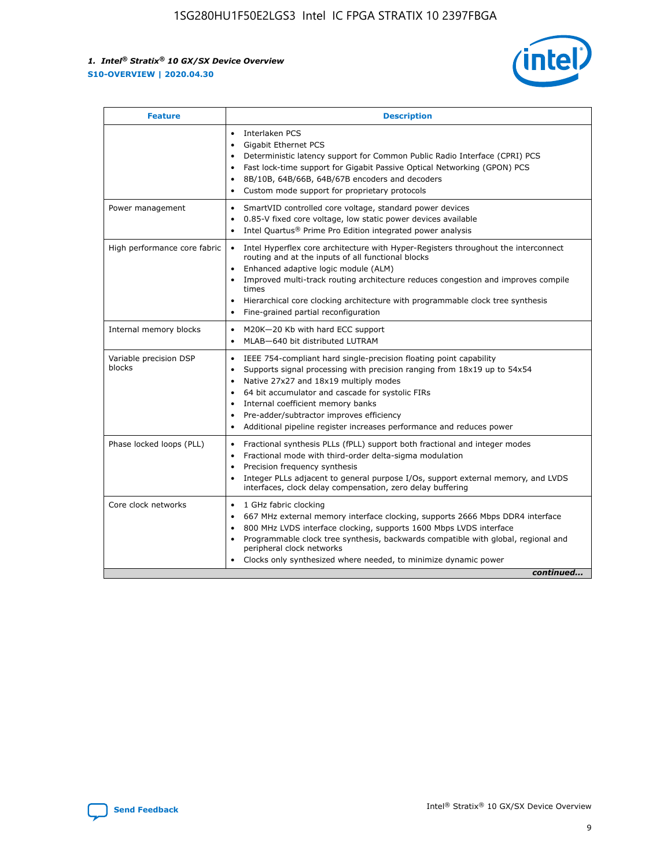

| <b>Feature</b>                   | <b>Description</b>                                                                                                                                                                                                                                                                                                                                                                                                                                                    |  |  |  |
|----------------------------------|-----------------------------------------------------------------------------------------------------------------------------------------------------------------------------------------------------------------------------------------------------------------------------------------------------------------------------------------------------------------------------------------------------------------------------------------------------------------------|--|--|--|
|                                  | Interlaken PCS<br>$\bullet$<br>Gigabit Ethernet PCS<br>$\bullet$<br>Deterministic latency support for Common Public Radio Interface (CPRI) PCS<br>$\bullet$<br>Fast lock-time support for Gigabit Passive Optical Networking (GPON) PCS<br>$\bullet$<br>8B/10B, 64B/66B, 64B/67B encoders and decoders<br>$\bullet$<br>Custom mode support for proprietary protocols<br>$\bullet$                                                                                     |  |  |  |
| Power management                 | SmartVID controlled core voltage, standard power devices<br>$\bullet$<br>0.85-V fixed core voltage, low static power devices available<br>$\bullet$<br>Intel Quartus <sup>®</sup> Prime Pro Edition integrated power analysis<br>٠                                                                                                                                                                                                                                    |  |  |  |
| High performance core fabric     | Intel Hyperflex core architecture with Hyper-Registers throughout the interconnect<br>$\bullet$<br>routing and at the inputs of all functional blocks<br>Enhanced adaptive logic module (ALM)<br>$\bullet$<br>Improved multi-track routing architecture reduces congestion and improves compile<br>times<br>Hierarchical core clocking architecture with programmable clock tree synthesis<br>Fine-grained partial reconfiguration                                    |  |  |  |
| Internal memory blocks           | M20K-20 Kb with hard ECC support<br>٠<br>MLAB-640 bit distributed LUTRAM<br>$\bullet$                                                                                                                                                                                                                                                                                                                                                                                 |  |  |  |
| Variable precision DSP<br>blocks | IEEE 754-compliant hard single-precision floating point capability<br>$\bullet$<br>Supports signal processing with precision ranging from 18x19 up to 54x54<br>$\bullet$<br>Native 27x27 and 18x19 multiply modes<br>$\bullet$<br>64 bit accumulator and cascade for systolic FIRs<br>Internal coefficient memory banks<br>Pre-adder/subtractor improves efficiency<br>$\bullet$<br>Additional pipeline register increases performance and reduces power<br>$\bullet$ |  |  |  |
| Phase locked loops (PLL)         | Fractional synthesis PLLs (fPLL) support both fractional and integer modes<br>$\bullet$<br>Fractional mode with third-order delta-sigma modulation<br>Precision frequency synthesis<br>$\bullet$<br>Integer PLLs adjacent to general purpose I/Os, support external memory, and LVDS<br>$\bullet$<br>interfaces, clock delay compensation, zero delay buffering                                                                                                       |  |  |  |
| Core clock networks              | 1 GHz fabric clocking<br>$\bullet$<br>667 MHz external memory interface clocking, supports 2666 Mbps DDR4 interface<br>$\bullet$<br>800 MHz LVDS interface clocking, supports 1600 Mbps LVDS interface<br>$\bullet$<br>Programmable clock tree synthesis, backwards compatible with global, regional and<br>$\bullet$<br>peripheral clock networks<br>Clocks only synthesized where needed, to minimize dynamic power<br>continued                                    |  |  |  |

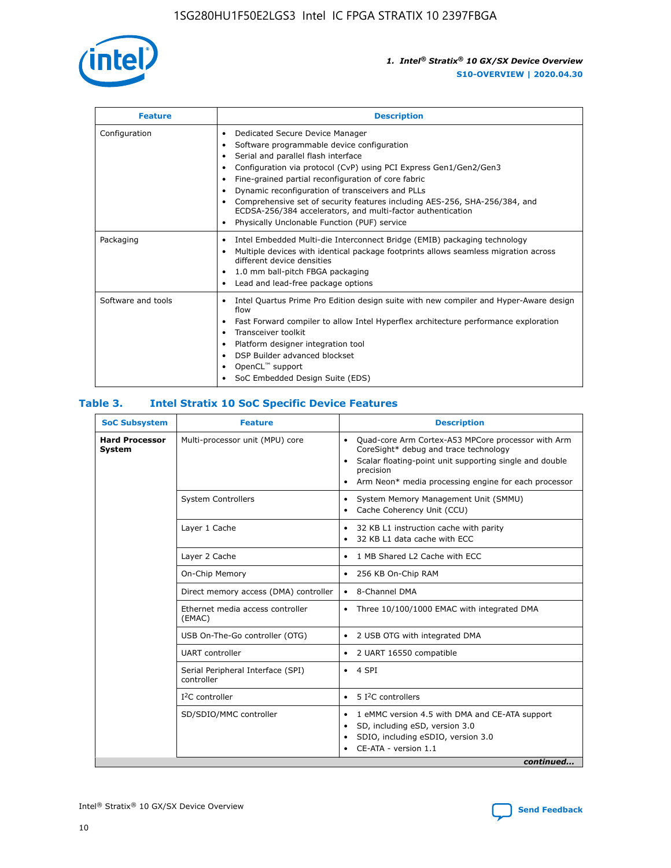

| <b>Feature</b>     | <b>Description</b>                                                                                                                                                                                                                                                                                                                                                                                                                                                                                                                                                   |
|--------------------|----------------------------------------------------------------------------------------------------------------------------------------------------------------------------------------------------------------------------------------------------------------------------------------------------------------------------------------------------------------------------------------------------------------------------------------------------------------------------------------------------------------------------------------------------------------------|
| Configuration      | Dedicated Secure Device Manager<br>$\bullet$<br>Software programmable device configuration<br>٠<br>Serial and parallel flash interface<br>٠<br>Configuration via protocol (CvP) using PCI Express Gen1/Gen2/Gen3<br>٠<br>Fine-grained partial reconfiguration of core fabric<br>$\bullet$<br>Dynamic reconfiguration of transceivers and PLLs<br>$\bullet$<br>Comprehensive set of security features including AES-256, SHA-256/384, and<br>ECDSA-256/384 accelerators, and multi-factor authentication<br>Physically Unclonable Function (PUF) service<br>$\bullet$ |
| Packaging          | Intel Embedded Multi-die Interconnect Bridge (EMIB) packaging technology<br>٠<br>Multiple devices with identical package footprints allows seamless migration across<br>$\bullet$<br>different device densities<br>1.0 mm ball-pitch FBGA packaging<br>$\bullet$<br>Lead and lead-free package options                                                                                                                                                                                                                                                               |
| Software and tools | Intel Quartus Prime Pro Edition design suite with new compiler and Hyper-Aware design<br>flow<br>Fast Forward compiler to allow Intel Hyperflex architecture performance exploration<br>$\bullet$<br>Transceiver toolkit<br>$\bullet$<br>Platform designer integration tool<br>DSP Builder advanced blockset<br>OpenCL <sup>™</sup> support<br>SoC Embedded Design Suite (EDS)                                                                                                                                                                                       |

## **Table 3. Intel Stratix 10 SoC Specific Device Features**

| <b>Hard Processor</b><br>Multi-processor unit (MPU) core<br>Quad-core Arm Cortex-A53 MPCore processor with Arm<br>$\bullet$<br>CoreSight* debug and trace technology<br>System<br>Scalar floating-point unit supporting single and double<br>$\bullet$<br>precision<br>Arm Neon* media processing engine for each processor<br>$\bullet$<br><b>System Controllers</b><br>System Memory Management Unit (SMMU)<br>$\bullet$<br>Cache Coherency Unit (CCU)<br>$\bullet$<br>Layer 1 Cache<br>32 KB L1 instruction cache with parity<br>$\bullet$<br>32 KB L1 data cache with ECC<br>$\bullet$<br>Layer 2 Cache<br>1 MB Shared L2 Cache with ECC<br>$\bullet$<br>On-Chip Memory<br>256 KB On-Chip RAM<br>٠<br>Direct memory access (DMA) controller<br>8-Channel DMA<br>$\bullet$<br>Ethernet media access controller<br>Three 10/100/1000 EMAC with integrated DMA<br>$\bullet$<br>(EMAC)<br>USB On-The-Go controller (OTG)<br>2 USB OTG with integrated DMA<br>$\bullet$<br><b>UART</b> controller<br>2 UART 16550 compatible<br>$\bullet$<br>Serial Peripheral Interface (SPI)<br>4 SPI<br>$\bullet$<br>controller<br>$I2C$ controller<br>5 I <sup>2</sup> C controllers<br>$\bullet$<br>SD/SDIO/MMC controller<br>1 eMMC version 4.5 with DMA and CE-ATA support<br>$\bullet$<br>SD, including eSD, version 3.0<br>$\bullet$<br>SDIO, including eSDIO, version 3.0<br>$\bullet$<br>CE-ATA - version 1.1 | <b>SoC Subsystem</b> | <b>Feature</b> | <b>Description</b> |  |  |
|---------------------------------------------------------------------------------------------------------------------------------------------------------------------------------------------------------------------------------------------------------------------------------------------------------------------------------------------------------------------------------------------------------------------------------------------------------------------------------------------------------------------------------------------------------------------------------------------------------------------------------------------------------------------------------------------------------------------------------------------------------------------------------------------------------------------------------------------------------------------------------------------------------------------------------------------------------------------------------------------------------------------------------------------------------------------------------------------------------------------------------------------------------------------------------------------------------------------------------------------------------------------------------------------------------------------------------------------------------------------------------------------------------|----------------------|----------------|--------------------|--|--|
|                                                                                                                                                                                                                                                                                                                                                                                                                                                                                                                                                                                                                                                                                                                                                                                                                                                                                                                                                                                                                                                                                                                                                                                                                                                                                                                                                                                                         |                      |                |                    |  |  |
|                                                                                                                                                                                                                                                                                                                                                                                                                                                                                                                                                                                                                                                                                                                                                                                                                                                                                                                                                                                                                                                                                                                                                                                                                                                                                                                                                                                                         |                      |                |                    |  |  |
|                                                                                                                                                                                                                                                                                                                                                                                                                                                                                                                                                                                                                                                                                                                                                                                                                                                                                                                                                                                                                                                                                                                                                                                                                                                                                                                                                                                                         |                      |                |                    |  |  |
|                                                                                                                                                                                                                                                                                                                                                                                                                                                                                                                                                                                                                                                                                                                                                                                                                                                                                                                                                                                                                                                                                                                                                                                                                                                                                                                                                                                                         |                      |                |                    |  |  |
|                                                                                                                                                                                                                                                                                                                                                                                                                                                                                                                                                                                                                                                                                                                                                                                                                                                                                                                                                                                                                                                                                                                                                                                                                                                                                                                                                                                                         |                      |                |                    |  |  |
|                                                                                                                                                                                                                                                                                                                                                                                                                                                                                                                                                                                                                                                                                                                                                                                                                                                                                                                                                                                                                                                                                                                                                                                                                                                                                                                                                                                                         |                      |                |                    |  |  |
|                                                                                                                                                                                                                                                                                                                                                                                                                                                                                                                                                                                                                                                                                                                                                                                                                                                                                                                                                                                                                                                                                                                                                                                                                                                                                                                                                                                                         |                      |                |                    |  |  |
|                                                                                                                                                                                                                                                                                                                                                                                                                                                                                                                                                                                                                                                                                                                                                                                                                                                                                                                                                                                                                                                                                                                                                                                                                                                                                                                                                                                                         |                      |                |                    |  |  |
|                                                                                                                                                                                                                                                                                                                                                                                                                                                                                                                                                                                                                                                                                                                                                                                                                                                                                                                                                                                                                                                                                                                                                                                                                                                                                                                                                                                                         |                      |                |                    |  |  |
|                                                                                                                                                                                                                                                                                                                                                                                                                                                                                                                                                                                                                                                                                                                                                                                                                                                                                                                                                                                                                                                                                                                                                                                                                                                                                                                                                                                                         |                      |                |                    |  |  |
|                                                                                                                                                                                                                                                                                                                                                                                                                                                                                                                                                                                                                                                                                                                                                                                                                                                                                                                                                                                                                                                                                                                                                                                                                                                                                                                                                                                                         |                      |                |                    |  |  |
| continued                                                                                                                                                                                                                                                                                                                                                                                                                                                                                                                                                                                                                                                                                                                                                                                                                                                                                                                                                                                                                                                                                                                                                                                                                                                                                                                                                                                               |                      |                |                    |  |  |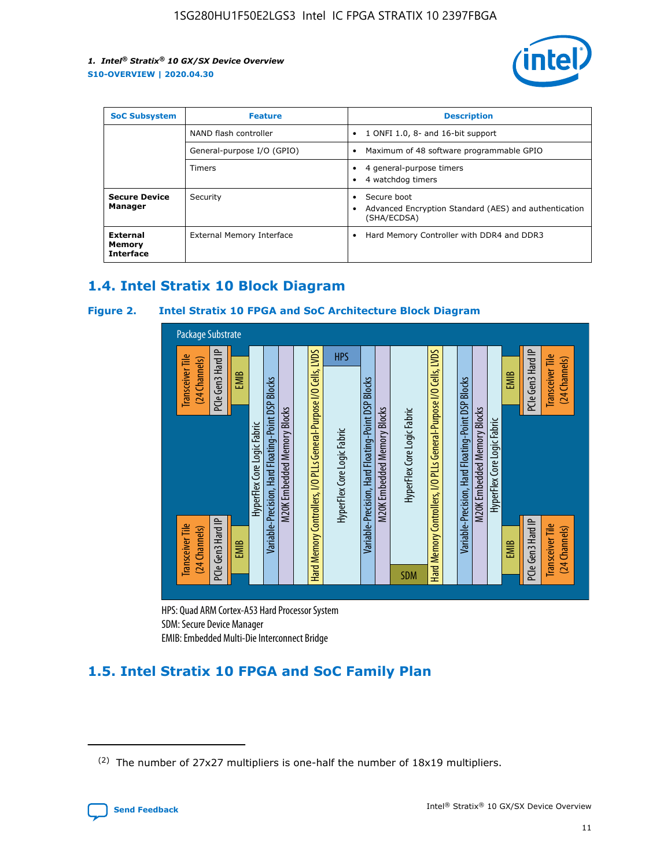

| <b>SoC Subsystem</b>                          | <b>Feature</b>             | <b>Description</b>                                                                  |  |  |
|-----------------------------------------------|----------------------------|-------------------------------------------------------------------------------------|--|--|
|                                               | NAND flash controller      | 1 ONFI 1.0, 8- and 16-bit support<br>$\bullet$                                      |  |  |
|                                               | General-purpose I/O (GPIO) | Maximum of 48 software programmable GPIO<br>$\bullet$                               |  |  |
|                                               | <b>Timers</b>              | 4 general-purpose timers<br>4 watchdog timers                                       |  |  |
| <b>Secure Device</b><br>Manager               | Security                   | Secure boot<br>Advanced Encryption Standard (AES) and authentication<br>(SHA/ECDSA) |  |  |
| <b>External</b><br>Memory<br><b>Interface</b> | External Memory Interface  | Hard Memory Controller with DDR4 and DDR3<br>$\bullet$                              |  |  |

## **1.4. Intel Stratix 10 Block Diagram**

## **Figure 2. Intel Stratix 10 FPGA and SoC Architecture Block Diagram**



HPS: Quad ARM Cortex-A53 Hard Processor System SDM: Secure Device Manager

# **1.5. Intel Stratix 10 FPGA and SoC Family Plan**

<sup>(2)</sup> The number of 27x27 multipliers is one-half the number of 18x19 multipliers.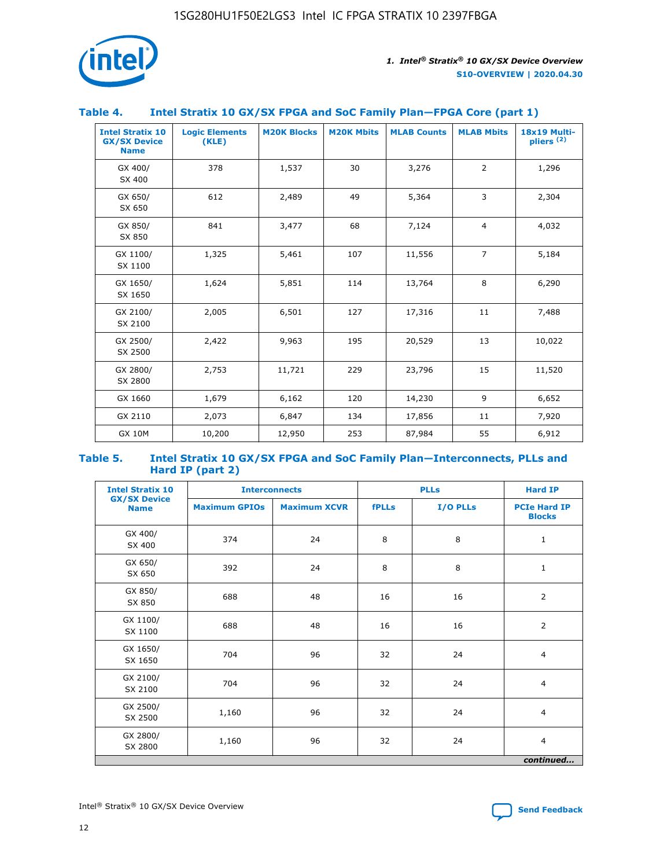

## **Table 4. Intel Stratix 10 GX/SX FPGA and SoC Family Plan—FPGA Core (part 1)**

| <b>Intel Stratix 10</b><br><b>GX/SX Device</b><br><b>Name</b> | <b>Logic Elements</b><br>(KLE) | <b>M20K Blocks</b> | <b>M20K Mbits</b> | <b>MLAB Counts</b> | <b>MLAB Mbits</b> | 18x19 Multi-<br>pliers <sup>(2)</sup> |
|---------------------------------------------------------------|--------------------------------|--------------------|-------------------|--------------------|-------------------|---------------------------------------|
| GX 400/<br>SX 400                                             | 378                            | 1,537              | 30                | 3,276              | $\overline{2}$    | 1,296                                 |
| GX 650/<br>SX 650                                             | 612                            | 2,489              | 49                | 5,364              | 3                 | 2,304                                 |
| GX 850/<br>SX 850                                             | 841                            | 3,477              | 68                | 7,124              | $\overline{4}$    | 4,032                                 |
| GX 1100/<br>SX 1100                                           | 1,325                          | 5,461              | 107               | 11,556             | $\overline{7}$    | 5,184                                 |
| GX 1650/<br>SX 1650                                           | 1,624                          | 5,851              | 114               | 13,764             | 8                 | 6,290                                 |
| GX 2100/<br>SX 2100                                           | 2,005                          | 6,501              | 127               | 17,316             | 11                | 7,488                                 |
| GX 2500/<br>SX 2500                                           | 2,422                          | 9,963              | 195               | 20,529             | 13                | 10,022                                |
| GX 2800/<br>SX 2800                                           | 2,753                          | 11,721             | 229               | 23,796             | 15                | 11,520                                |
| GX 1660                                                       | 1,679                          | 6,162              | 120               | 14,230             | 9                 | 6,652                                 |
| GX 2110                                                       | 2,073                          | 6,847              | 134               | 17,856             | 11                | 7,920                                 |
| <b>GX 10M</b>                                                 | 10,200                         | 12,950             | 253               | 87,984             | 55                | 6,912                                 |

#### **Table 5. Intel Stratix 10 GX/SX FPGA and SoC Family Plan—Interconnects, PLLs and Hard IP (part 2)**

| <b>Intel Stratix 10</b>            | <b>Interconnects</b> |                     | <b>PLLs</b>  |          | <b>Hard IP</b>                       |  |
|------------------------------------|----------------------|---------------------|--------------|----------|--------------------------------------|--|
| <b>GX/SX Device</b><br><b>Name</b> | <b>Maximum GPIOs</b> | <b>Maximum XCVR</b> | <b>fPLLs</b> | I/O PLLs | <b>PCIe Hard IP</b><br><b>Blocks</b> |  |
| GX 400/<br>SX 400                  | 374                  | 24                  | 8            | 8        | $\mathbf{1}$                         |  |
| GX 650/<br>SX 650                  | 392                  | 24                  | 8            | 8        | $\mathbf{1}$                         |  |
| GX 850/<br>SX 850                  | 688                  | 48                  | 16           | 16       | 2                                    |  |
| GX 1100/<br>SX 1100                | 688                  | 48                  | 16           | 16       | 2                                    |  |
| GX 1650/<br>SX 1650                | 704                  | 96                  | 32           | 24       | $\overline{4}$                       |  |
| GX 2100/<br>SX 2100                | 704                  | 96                  | 32           | 24       | $\overline{4}$                       |  |
| GX 2500/<br>SX 2500                | 1,160                | 96                  | 32           | 24       | $\overline{4}$                       |  |
| GX 2800/<br>SX 2800                | 1,160                | 96                  | 32           | 24       | $\overline{4}$                       |  |
| continued                          |                      |                     |              |          |                                      |  |

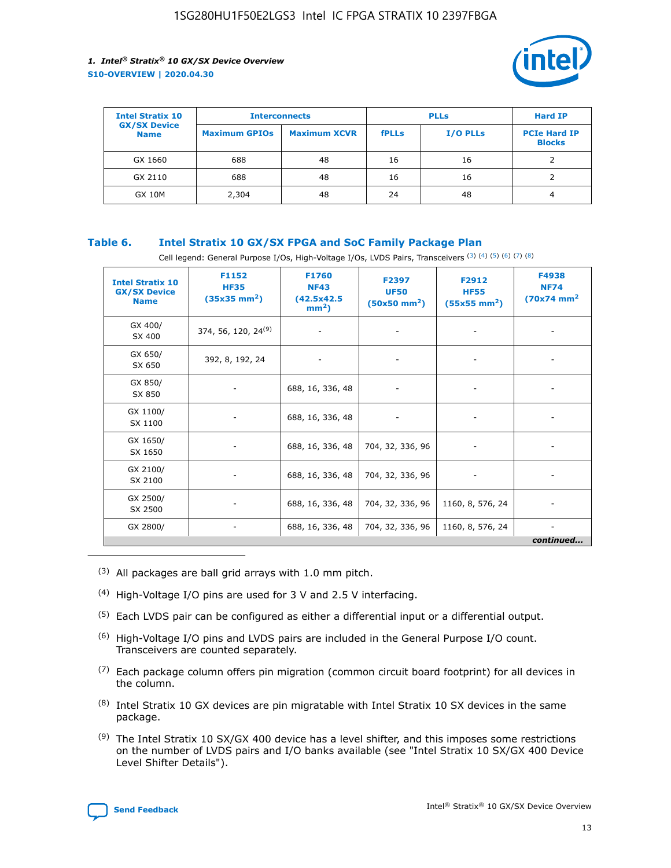

| <b>Intel Stratix 10</b>            | <b>Interconnects</b> |                     | <b>PLLs</b>  |                 | <b>Hard IP</b>                       |
|------------------------------------|----------------------|---------------------|--------------|-----------------|--------------------------------------|
| <b>GX/SX Device</b><br><b>Name</b> | <b>Maximum GPIOs</b> | <b>Maximum XCVR</b> | <b>fPLLs</b> | <b>I/O PLLs</b> | <b>PCIe Hard IP</b><br><b>Blocks</b> |
| GX 1660                            | 688                  | 48                  | 16           | 16              |                                      |
| GX 2110                            | 688                  | 48                  | 16           | 16              |                                      |
| <b>GX 10M</b>                      | 2,304                | 48                  | 24           | 48              | 4                                    |

## **Table 6. Intel Stratix 10 GX/SX FPGA and SoC Family Package Plan**

Cell legend: General Purpose I/Os, High-Voltage I/Os, LVDS Pairs, Transceivers (3) (4) (5) (6) (7) (8)

| <b>Intel Stratix 10</b><br><b>GX/SX Device</b><br><b>Name</b> | F1152<br><b>HF35</b><br>$(35x35 \text{ mm}^2)$ | <b>F1760</b><br><b>NF43</b><br>(42.5x42.5<br>$mm2$ ) | F2397<br><b>UF50</b><br>$(50x50$ mm <sup>2</sup> ) | F2912<br><b>HF55</b><br>$(55x55 \text{ mm}^2)$ | F4938<br><b>NF74</b><br>$(70x74)$ mm <sup>2</sup> |
|---------------------------------------------------------------|------------------------------------------------|------------------------------------------------------|----------------------------------------------------|------------------------------------------------|---------------------------------------------------|
| GX 400/<br>SX 400                                             | 374, 56, 120, 24 <sup>(9)</sup>                | $\overline{\phantom{a}}$                             | $\overline{\phantom{a}}$                           |                                                |                                                   |
| GX 650/<br>SX 650                                             | 392, 8, 192, 24                                | ٠                                                    | $\overline{\phantom{a}}$                           |                                                |                                                   |
| GX 850/<br>SX 850                                             |                                                | 688, 16, 336, 48                                     |                                                    |                                                |                                                   |
| GX 1100/<br>SX 1100                                           |                                                | 688, 16, 336, 48                                     |                                                    |                                                |                                                   |
| GX 1650/<br>SX 1650                                           |                                                | 688, 16, 336, 48                                     | 704, 32, 336, 96                                   |                                                |                                                   |
| GX 2100/<br>SX 2100                                           |                                                | 688, 16, 336, 48                                     | 704, 32, 336, 96                                   | -                                              | ۰                                                 |
| GX 2500/<br>SX 2500                                           |                                                | 688, 16, 336, 48                                     | 704, 32, 336, 96                                   | 1160, 8, 576, 24                               |                                                   |
| GX 2800/                                                      | $\overline{\phantom{a}}$                       | 688, 16, 336, 48                                     | 704, 32, 336, 96                                   | 1160, 8, 576, 24                               | ٠<br>continued                                    |

- (3) All packages are ball grid arrays with 1.0 mm pitch.
- (4) High-Voltage I/O pins are used for 3 V and 2.5 V interfacing.
- $(5)$  Each LVDS pair can be configured as either a differential input or a differential output.
- (6) High-Voltage I/O pins and LVDS pairs are included in the General Purpose I/O count. Transceivers are counted separately.
- $(7)$  Each package column offers pin migration (common circuit board footprint) for all devices in the column.
- $(8)$  Intel Stratix 10 GX devices are pin migratable with Intel Stratix 10 SX devices in the same package.
- $(9)$  The Intel Stratix 10 SX/GX 400 device has a level shifter, and this imposes some restrictions on the number of LVDS pairs and I/O banks available (see "Intel Stratix 10 SX/GX 400 Device Level Shifter Details").

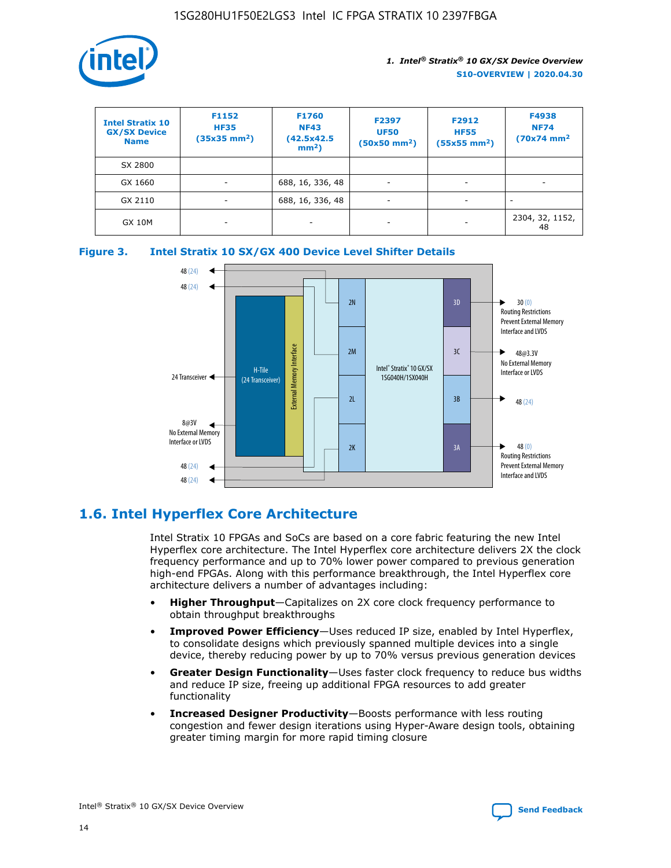

| <b>Intel Stratix 10</b><br><b>GX/SX Device</b><br><b>Name</b> | F1152<br><b>HF35</b><br>$(35x35)$ mm <sup>2</sup> ) | F1760<br><b>NF43</b><br>(42.5x42.5<br>$mm2$ ) | F2397<br><b>UF50</b><br>$(50x50 \text{ mm}^2)$ | F2912<br><b>HF55</b><br>$(55x55$ mm <sup>2</sup> ) | F4938<br><b>NF74</b><br>$(70x74)$ mm <sup>2</sup> |
|---------------------------------------------------------------|-----------------------------------------------------|-----------------------------------------------|------------------------------------------------|----------------------------------------------------|---------------------------------------------------|
| SX 2800                                                       |                                                     |                                               |                                                |                                                    |                                                   |
| GX 1660                                                       | ٠                                                   | 688, 16, 336, 48                              | -                                              |                                                    |                                                   |
| GX 2110                                                       | $\overline{\phantom{a}}$                            | 688, 16, 336, 48                              | -                                              |                                                    |                                                   |
| <b>GX 10M</b>                                                 | $\overline{\phantom{a}}$                            | $\overline{\phantom{a}}$                      |                                                |                                                    | 2304, 32, 1152,<br>48                             |





## **1.6. Intel Hyperflex Core Architecture**

Intel Stratix 10 FPGAs and SoCs are based on a core fabric featuring the new Intel Hyperflex core architecture. The Intel Hyperflex core architecture delivers 2X the clock frequency performance and up to 70% lower power compared to previous generation high-end FPGAs. Along with this performance breakthrough, the Intel Hyperflex core architecture delivers a number of advantages including:

- **Higher Throughput**—Capitalizes on 2X core clock frequency performance to obtain throughput breakthroughs
- **Improved Power Efficiency**—Uses reduced IP size, enabled by Intel Hyperflex, to consolidate designs which previously spanned multiple devices into a single device, thereby reducing power by up to 70% versus previous generation devices
- **Greater Design Functionality**—Uses faster clock frequency to reduce bus widths and reduce IP size, freeing up additional FPGA resources to add greater functionality
- **Increased Designer Productivity**—Boosts performance with less routing congestion and fewer design iterations using Hyper-Aware design tools, obtaining greater timing margin for more rapid timing closure

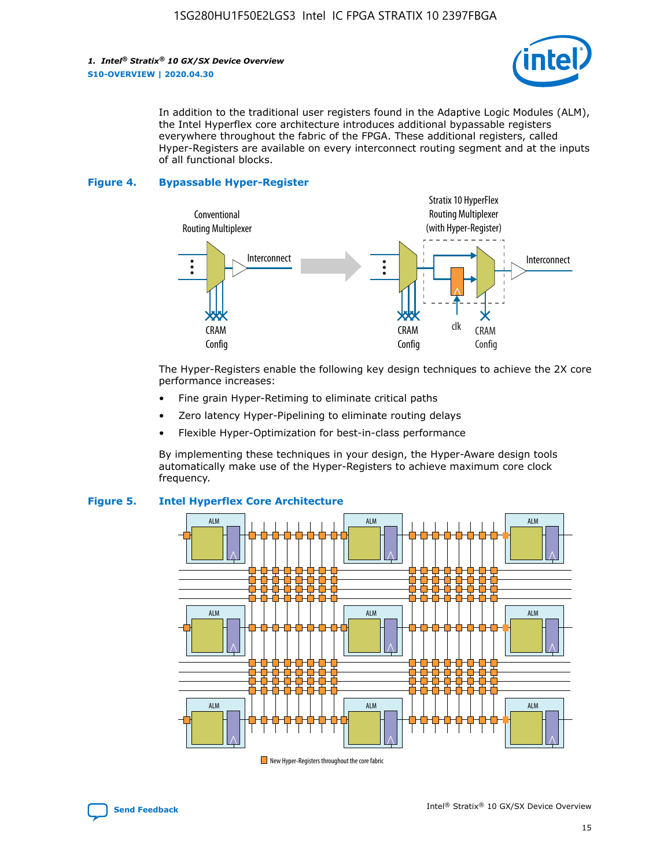

In addition to the traditional user registers found in the Adaptive Logic Modules (ALM), the Intel Hyperflex core architecture introduces additional bypassable registers everywhere throughout the fabric of the FPGA. These additional registers, called Hyper-Registers are available on every interconnect routing segment and at the inputs of all functional blocks.

#### **Figure 4. Bypassable Hyper-Register**



The Hyper-Registers enable the following key design techniques to achieve the 2X core performance increases:

- Fine grain Hyper-Retiming to eliminate critical paths
- Zero latency Hyper-Pipelining to eliminate routing delays
- Flexible Hyper-Optimization for best-in-class performance

By implementing these techniques in your design, the Hyper-Aware design tools automatically make use of the Hyper-Registers to achieve maximum core clock frequency.



## **Figure 5. Intel Hyperflex Core Architecture**

New Hyper-Registers throughout the core fabric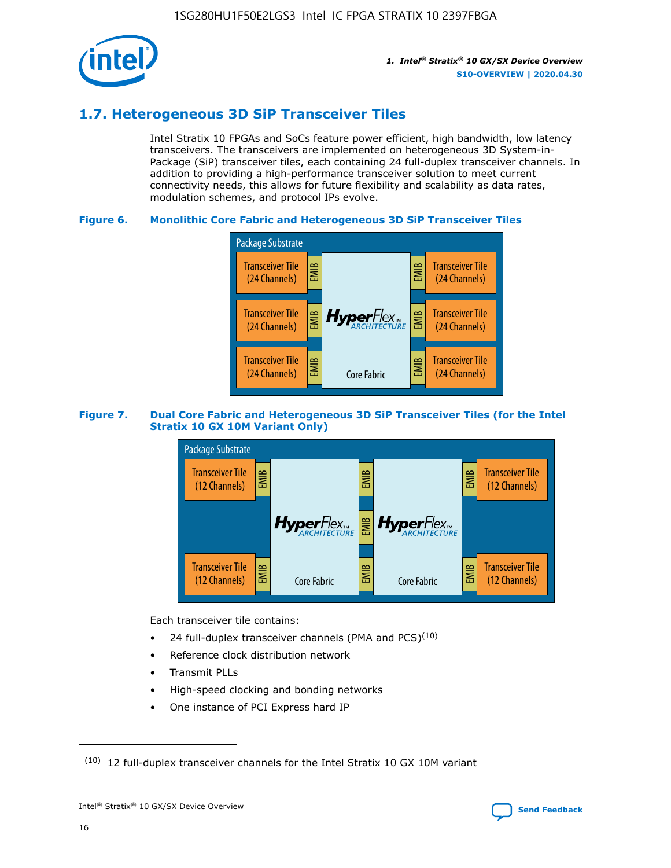

## **1.7. Heterogeneous 3D SiP Transceiver Tiles**

Intel Stratix 10 FPGAs and SoCs feature power efficient, high bandwidth, low latency transceivers. The transceivers are implemented on heterogeneous 3D System-in-Package (SiP) transceiver tiles, each containing 24 full-duplex transceiver channels. In addition to providing a high-performance transceiver solution to meet current connectivity needs, this allows for future flexibility and scalability as data rates, modulation schemes, and protocol IPs evolve.

## **Figure 6. Monolithic Core Fabric and Heterogeneous 3D SiP Transceiver Tiles**



## **Figure 7. Dual Core Fabric and Heterogeneous 3D SiP Transceiver Tiles (for the Intel Stratix 10 GX 10M Variant Only)**



Each transceiver tile contains:

- 24 full-duplex transceiver channels (PMA and PCS) $(10)$
- Reference clock distribution network
- Transmit PLLs
- High-speed clocking and bonding networks
- One instance of PCI Express hard IP

 $(10)$  12 full-duplex transceiver channels for the Intel Stratix 10 GX 10M variant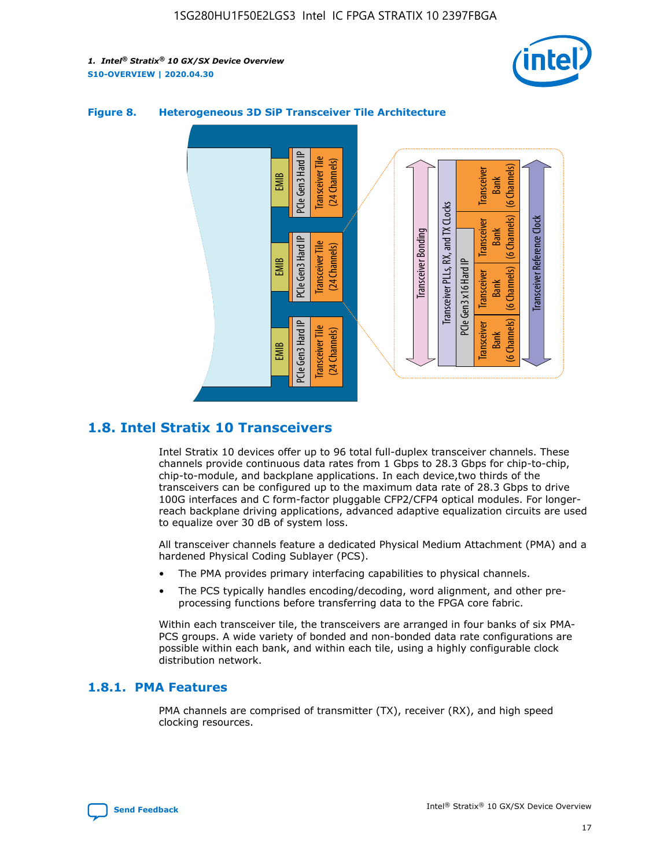



## **Figure 8. Heterogeneous 3D SiP Transceiver Tile Architecture**

## **1.8. Intel Stratix 10 Transceivers**

Intel Stratix 10 devices offer up to 96 total full-duplex transceiver channels. These channels provide continuous data rates from 1 Gbps to 28.3 Gbps for chip-to-chip, chip-to-module, and backplane applications. In each device,two thirds of the transceivers can be configured up to the maximum data rate of 28.3 Gbps to drive 100G interfaces and C form-factor pluggable CFP2/CFP4 optical modules. For longerreach backplane driving applications, advanced adaptive equalization circuits are used to equalize over 30 dB of system loss.

All transceiver channels feature a dedicated Physical Medium Attachment (PMA) and a hardened Physical Coding Sublayer (PCS).

- The PMA provides primary interfacing capabilities to physical channels.
- The PCS typically handles encoding/decoding, word alignment, and other preprocessing functions before transferring data to the FPGA core fabric.

Within each transceiver tile, the transceivers are arranged in four banks of six PMA-PCS groups. A wide variety of bonded and non-bonded data rate configurations are possible within each bank, and within each tile, using a highly configurable clock distribution network.

## **1.8.1. PMA Features**

PMA channels are comprised of transmitter (TX), receiver (RX), and high speed clocking resources.

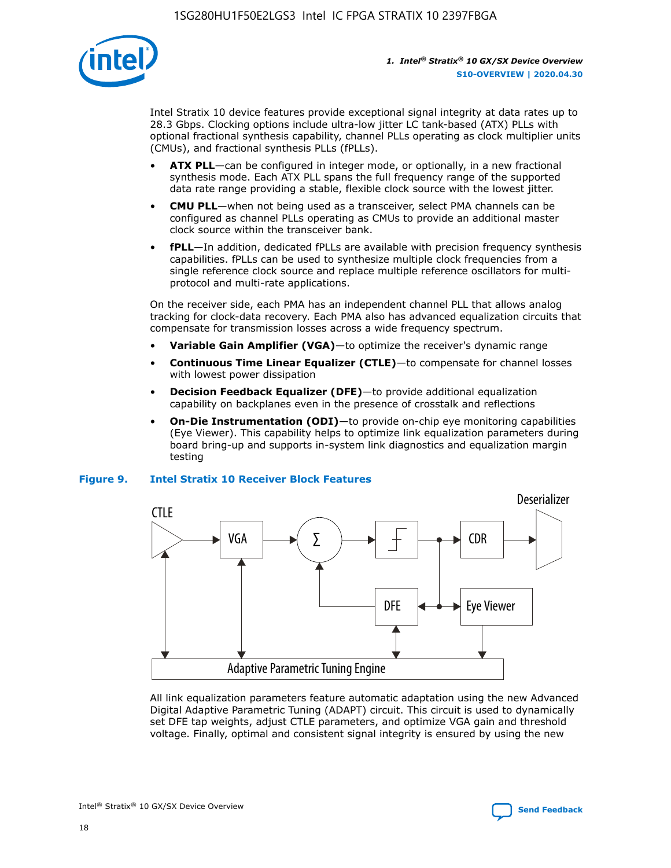

Intel Stratix 10 device features provide exceptional signal integrity at data rates up to 28.3 Gbps. Clocking options include ultra-low jitter LC tank-based (ATX) PLLs with optional fractional synthesis capability, channel PLLs operating as clock multiplier units (CMUs), and fractional synthesis PLLs (fPLLs).

- **ATX PLL**—can be configured in integer mode, or optionally, in a new fractional synthesis mode. Each ATX PLL spans the full frequency range of the supported data rate range providing a stable, flexible clock source with the lowest jitter.
- **CMU PLL**—when not being used as a transceiver, select PMA channels can be configured as channel PLLs operating as CMUs to provide an additional master clock source within the transceiver bank.
- **fPLL**—In addition, dedicated fPLLs are available with precision frequency synthesis capabilities. fPLLs can be used to synthesize multiple clock frequencies from a single reference clock source and replace multiple reference oscillators for multiprotocol and multi-rate applications.

On the receiver side, each PMA has an independent channel PLL that allows analog tracking for clock-data recovery. Each PMA also has advanced equalization circuits that compensate for transmission losses across a wide frequency spectrum.

- **Variable Gain Amplifier (VGA)**—to optimize the receiver's dynamic range
- **Continuous Time Linear Equalizer (CTLE)**—to compensate for channel losses with lowest power dissipation
- **Decision Feedback Equalizer (DFE)**—to provide additional equalization capability on backplanes even in the presence of crosstalk and reflections
- **On-Die Instrumentation (ODI)**—to provide on-chip eye monitoring capabilities (Eye Viewer). This capability helps to optimize link equalization parameters during board bring-up and supports in-system link diagnostics and equalization margin testing

## **Figure 9. Intel Stratix 10 Receiver Block Features**



All link equalization parameters feature automatic adaptation using the new Advanced Digital Adaptive Parametric Tuning (ADAPT) circuit. This circuit is used to dynamically set DFE tap weights, adjust CTLE parameters, and optimize VGA gain and threshold voltage. Finally, optimal and consistent signal integrity is ensured by using the new



Intel<sup>®</sup> Stratix<sup>®</sup> 10 GX/SX Device Overview **[Send Feedback](mailto:FPGAtechdocfeedback@intel.com?subject=Feedback%20on%20Intel%20Stratix%2010%20GX/SX%20Device%20Overview%20(S10-OVERVIEW%202020.04.30)&body=We%20appreciate%20your%20feedback.%20In%20your%20comments,%20also%20specify%20the%20page%20number%20or%20paragraph.%20Thank%20you.)** Send Feedback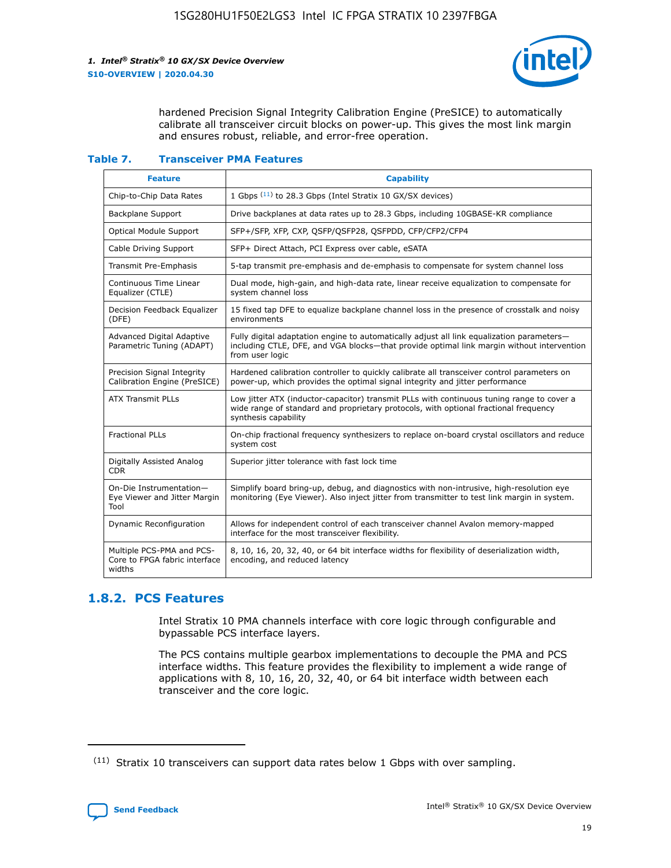

hardened Precision Signal Integrity Calibration Engine (PreSICE) to automatically calibrate all transceiver circuit blocks on power-up. This gives the most link margin and ensures robust, reliable, and error-free operation.

#### **Table 7. Transceiver PMA Features**

| <b>Feature</b>                                                       | <b>Capability</b>                                                                                                                                                                                         |
|----------------------------------------------------------------------|-----------------------------------------------------------------------------------------------------------------------------------------------------------------------------------------------------------|
| Chip-to-Chip Data Rates                                              | 1 Gbps (11) to 28.3 Gbps (Intel Stratix 10 GX/SX devices)                                                                                                                                                 |
| <b>Backplane Support</b>                                             | Drive backplanes at data rates up to 28.3 Gbps, including 10GBASE-KR compliance                                                                                                                           |
| Optical Module Support                                               | SFP+/SFP, XFP, CXP, QSFP/QSFP28, QSFPDD, CFP/CFP2/CFP4                                                                                                                                                    |
| Cable Driving Support                                                | SFP+ Direct Attach, PCI Express over cable, eSATA                                                                                                                                                         |
| <b>Transmit Pre-Emphasis</b>                                         | 5-tap transmit pre-emphasis and de-emphasis to compensate for system channel loss                                                                                                                         |
| Continuous Time Linear<br>Equalizer (CTLE)                           | Dual mode, high-gain, and high-data rate, linear receive equalization to compensate for<br>system channel loss                                                                                            |
| Decision Feedback Equalizer<br>(DFE)                                 | 15 fixed tap DFE to equalize backplane channel loss in the presence of crosstalk and noisy<br>environments                                                                                                |
| Advanced Digital Adaptive<br>Parametric Tuning (ADAPT)               | Fully digital adaptation engine to automatically adjust all link equalization parameters-<br>including CTLE, DFE, and VGA blocks-that provide optimal link margin without intervention<br>from user logic |
| Precision Signal Integrity<br>Calibration Engine (PreSICE)           | Hardened calibration controller to quickly calibrate all transceiver control parameters on<br>power-up, which provides the optimal signal integrity and jitter performance                                |
| <b>ATX Transmit PLLs</b>                                             | Low jitter ATX (inductor-capacitor) transmit PLLs with continuous tuning range to cover a<br>wide range of standard and proprietary protocols, with optional fractional frequency<br>synthesis capability |
| <b>Fractional PLLs</b>                                               | On-chip fractional frequency synthesizers to replace on-board crystal oscillators and reduce<br>system cost                                                                                               |
| Digitally Assisted Analog<br>CDR.                                    | Superior jitter tolerance with fast lock time                                                                                                                                                             |
| On-Die Instrumentation-<br>Eye Viewer and Jitter Margin<br>Tool      | Simplify board bring-up, debug, and diagnostics with non-intrusive, high-resolution eye<br>monitoring (Eye Viewer). Also inject jitter from transmitter to test link margin in system.                    |
| Dynamic Reconfiguration                                              | Allows for independent control of each transceiver channel Avalon memory-mapped<br>interface for the most transceiver flexibility.                                                                        |
| Multiple PCS-PMA and PCS-<br>Core to FPGA fabric interface<br>widths | 8, 10, 16, 20, 32, 40, or 64 bit interface widths for flexibility of deserialization width,<br>encoding, and reduced latency                                                                              |

## **1.8.2. PCS Features**

Intel Stratix 10 PMA channels interface with core logic through configurable and bypassable PCS interface layers.

The PCS contains multiple gearbox implementations to decouple the PMA and PCS interface widths. This feature provides the flexibility to implement a wide range of applications with 8, 10, 16, 20, 32, 40, or 64 bit interface width between each transceiver and the core logic.

 $(11)$  Stratix 10 transceivers can support data rates below 1 Gbps with over sampling.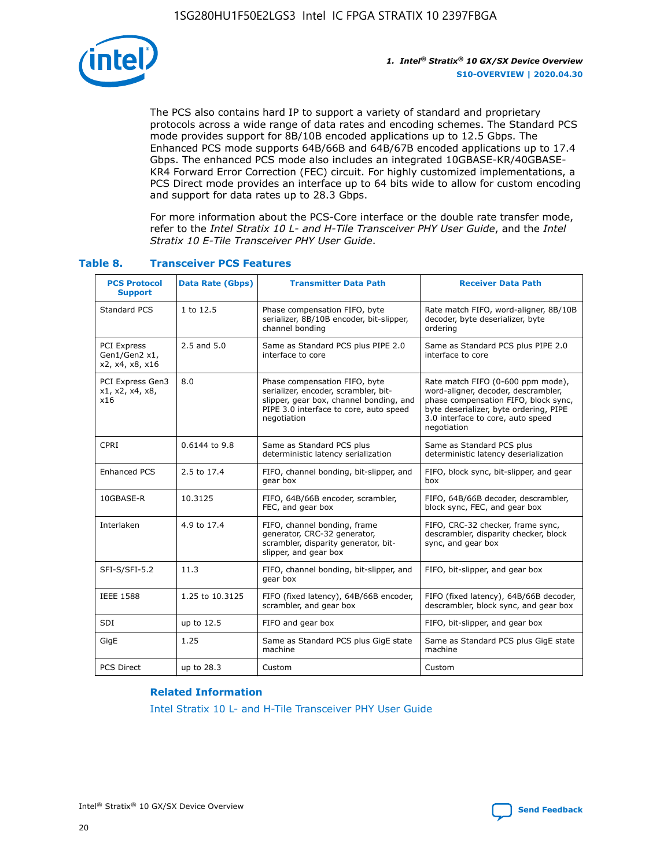

The PCS also contains hard IP to support a variety of standard and proprietary protocols across a wide range of data rates and encoding schemes. The Standard PCS mode provides support for 8B/10B encoded applications up to 12.5 Gbps. The Enhanced PCS mode supports 64B/66B and 64B/67B encoded applications up to 17.4 Gbps. The enhanced PCS mode also includes an integrated 10GBASE-KR/40GBASE-KR4 Forward Error Correction (FEC) circuit. For highly customized implementations, a PCS Direct mode provides an interface up to 64 bits wide to allow for custom encoding and support for data rates up to 28.3 Gbps.

For more information about the PCS-Core interface or the double rate transfer mode, refer to the *Intel Stratix 10 L- and H-Tile Transceiver PHY User Guide*, and the *Intel Stratix 10 E-Tile Transceiver PHY User Guide*.

| <b>PCS Protocol</b><br><b>Support</b>           | <b>Data Rate (Gbps)</b> | <b>Transmitter Data Path</b>                                                                                                                                              | <b>Receiver Data Path</b>                                                                                                                                                                                      |
|-------------------------------------------------|-------------------------|---------------------------------------------------------------------------------------------------------------------------------------------------------------------------|----------------------------------------------------------------------------------------------------------------------------------------------------------------------------------------------------------------|
| Standard PCS                                    | 1 to 12.5               | Phase compensation FIFO, byte<br>serializer, 8B/10B encoder, bit-slipper,<br>channel bonding                                                                              | Rate match FIFO, word-aligner, 8B/10B<br>decoder, byte deserializer, byte<br>ordering                                                                                                                          |
| PCI Express<br>Gen1/Gen2 x1,<br>x2, x4, x8, x16 | $2.5$ and $5.0$         | Same as Standard PCS plus PIPE 2.0<br>interface to core                                                                                                                   | Same as Standard PCS plus PIPE 2.0<br>interface to core                                                                                                                                                        |
| PCI Express Gen3<br>x1, x2, x4, x8,<br>x16      | 8.0                     | Phase compensation FIFO, byte<br>serializer, encoder, scrambler, bit-<br>slipper, gear box, channel bonding, and<br>PIPE 3.0 interface to core, auto speed<br>negotiation | Rate match FIFO (0-600 ppm mode),<br>word-aligner, decoder, descrambler,<br>phase compensation FIFO, block sync,<br>byte deserializer, byte ordering, PIPE<br>3.0 interface to core, auto speed<br>negotiation |
| CPRI                                            | 0.6144 to 9.8           | Same as Standard PCS plus<br>deterministic latency serialization                                                                                                          | Same as Standard PCS plus<br>deterministic latency deserialization                                                                                                                                             |
| <b>Enhanced PCS</b>                             | 2.5 to 17.4             | FIFO, channel bonding, bit-slipper, and<br>gear box                                                                                                                       | FIFO, block sync, bit-slipper, and gear<br>box                                                                                                                                                                 |
| 10GBASE-R                                       | 10.3125                 | FIFO, 64B/66B encoder, scrambler,<br>FEC, and gear box                                                                                                                    | FIFO, 64B/66B decoder, descrambler,<br>block sync, FEC, and gear box                                                                                                                                           |
| Interlaken                                      | 4.9 to 17.4             | FIFO, channel bonding, frame<br>generator, CRC-32 generator,<br>scrambler, disparity generator, bit-<br>slipper, and gear box                                             | FIFO, CRC-32 checker, frame sync,<br>descrambler, disparity checker, block<br>sync, and gear box                                                                                                               |
| SFI-S/SFI-5.2                                   | 11.3                    | FIFO, channel bonding, bit-slipper, and<br>gear box                                                                                                                       | FIFO, bit-slipper, and gear box                                                                                                                                                                                |
| <b>IEEE 1588</b>                                | 1.25 to 10.3125         | FIFO (fixed latency), 64B/66B encoder,<br>scrambler, and gear box                                                                                                         | FIFO (fixed latency), 64B/66B decoder,<br>descrambler, block sync, and gear box                                                                                                                                |
| SDI                                             | up to 12.5              | FIFO and gear box                                                                                                                                                         | FIFO, bit-slipper, and gear box                                                                                                                                                                                |
| GigE                                            | 1.25                    | Same as Standard PCS plus GigE state<br>machine                                                                                                                           | Same as Standard PCS plus GigE state<br>machine                                                                                                                                                                |
| <b>PCS Direct</b>                               | up to 28.3              | Custom                                                                                                                                                                    | Custom                                                                                                                                                                                                         |

## **Table 8. Transceiver PCS Features**

#### **Related Information**

[Intel Stratix 10 L- and H-Tile Transceiver PHY User Guide](https://www.altera.com/documentation/wry1479165198810.html)

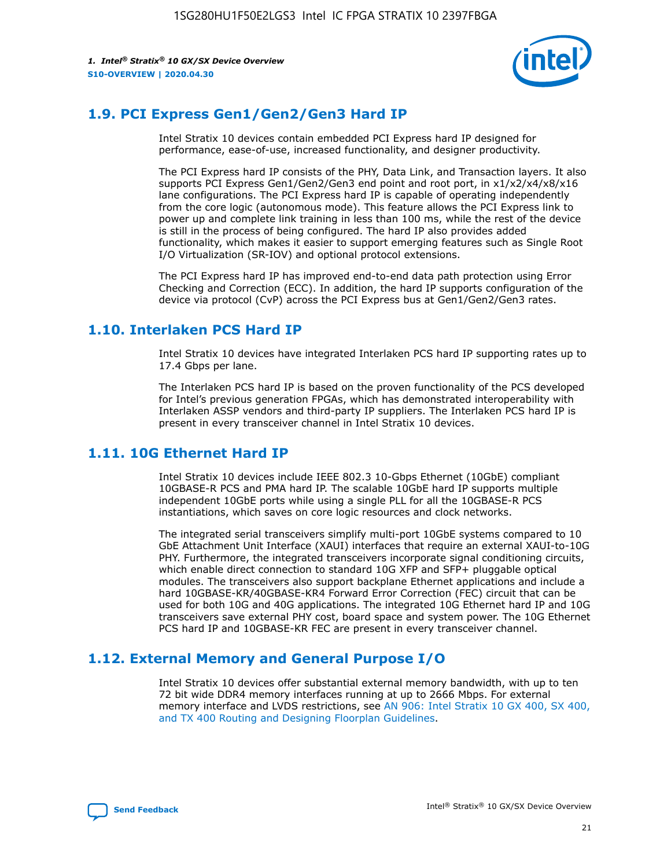

## **1.9. PCI Express Gen1/Gen2/Gen3 Hard IP**

Intel Stratix 10 devices contain embedded PCI Express hard IP designed for performance, ease-of-use, increased functionality, and designer productivity.

The PCI Express hard IP consists of the PHY, Data Link, and Transaction layers. It also supports PCI Express Gen1/Gen2/Gen3 end point and root port, in x1/x2/x4/x8/x16 lane configurations. The PCI Express hard IP is capable of operating independently from the core logic (autonomous mode). This feature allows the PCI Express link to power up and complete link training in less than 100 ms, while the rest of the device is still in the process of being configured. The hard IP also provides added functionality, which makes it easier to support emerging features such as Single Root I/O Virtualization (SR-IOV) and optional protocol extensions.

The PCI Express hard IP has improved end-to-end data path protection using Error Checking and Correction (ECC). In addition, the hard IP supports configuration of the device via protocol (CvP) across the PCI Express bus at Gen1/Gen2/Gen3 rates.

## **1.10. Interlaken PCS Hard IP**

Intel Stratix 10 devices have integrated Interlaken PCS hard IP supporting rates up to 17.4 Gbps per lane.

The Interlaken PCS hard IP is based on the proven functionality of the PCS developed for Intel's previous generation FPGAs, which has demonstrated interoperability with Interlaken ASSP vendors and third-party IP suppliers. The Interlaken PCS hard IP is present in every transceiver channel in Intel Stratix 10 devices.

## **1.11. 10G Ethernet Hard IP**

Intel Stratix 10 devices include IEEE 802.3 10-Gbps Ethernet (10GbE) compliant 10GBASE-R PCS and PMA hard IP. The scalable 10GbE hard IP supports multiple independent 10GbE ports while using a single PLL for all the 10GBASE-R PCS instantiations, which saves on core logic resources and clock networks.

The integrated serial transceivers simplify multi-port 10GbE systems compared to 10 GbE Attachment Unit Interface (XAUI) interfaces that require an external XAUI-to-10G PHY. Furthermore, the integrated transceivers incorporate signal conditioning circuits, which enable direct connection to standard 10G XFP and SFP+ pluggable optical modules. The transceivers also support backplane Ethernet applications and include a hard 10GBASE-KR/40GBASE-KR4 Forward Error Correction (FEC) circuit that can be used for both 10G and 40G applications. The integrated 10G Ethernet hard IP and 10G transceivers save external PHY cost, board space and system power. The 10G Ethernet PCS hard IP and 10GBASE-KR FEC are present in every transceiver channel.

## **1.12. External Memory and General Purpose I/O**

Intel Stratix 10 devices offer substantial external memory bandwidth, with up to ten 72 bit wide DDR4 memory interfaces running at up to 2666 Mbps. For external memory interface and LVDS restrictions, see [AN 906: Intel Stratix 10 GX 400, SX 400,](https://www.intel.com/content/www/us/en/programmable/documentation/sjf1574667190623.html#bft1574667627484) [and TX 400 Routing and Designing Floorplan Guidelines.](https://www.intel.com/content/www/us/en/programmable/documentation/sjf1574667190623.html#bft1574667627484)

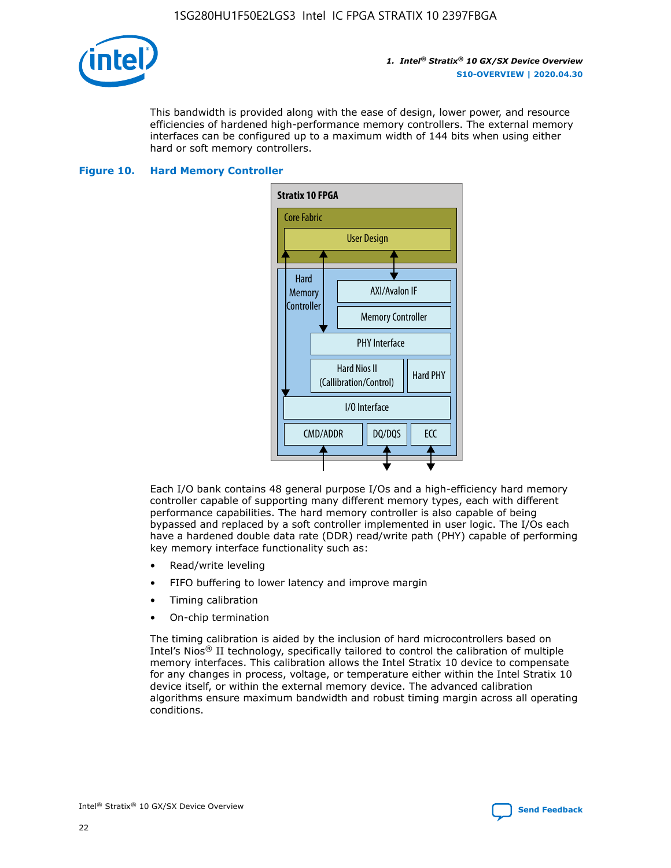

This bandwidth is provided along with the ease of design, lower power, and resource efficiencies of hardened high-performance memory controllers. The external memory interfaces can be configured up to a maximum width of 144 bits when using either hard or soft memory controllers.

## **Figure 10. Hard Memory Controller**



Each I/O bank contains 48 general purpose I/Os and a high-efficiency hard memory controller capable of supporting many different memory types, each with different performance capabilities. The hard memory controller is also capable of being bypassed and replaced by a soft controller implemented in user logic. The I/Os each have a hardened double data rate (DDR) read/write path (PHY) capable of performing key memory interface functionality such as:

- Read/write leveling
- FIFO buffering to lower latency and improve margin
- Timing calibration
- On-chip termination

The timing calibration is aided by the inclusion of hard microcontrollers based on Intel's Nios® II technology, specifically tailored to control the calibration of multiple memory interfaces. This calibration allows the Intel Stratix 10 device to compensate for any changes in process, voltage, or temperature either within the Intel Stratix 10 device itself, or within the external memory device. The advanced calibration algorithms ensure maximum bandwidth and robust timing margin across all operating conditions.

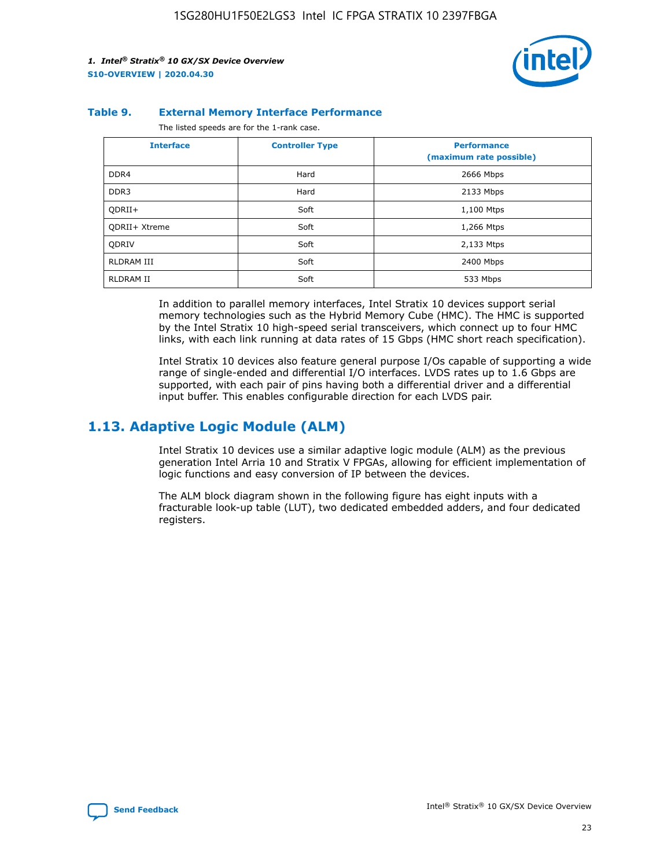

#### **Table 9. External Memory Interface Performance**

The listed speeds are for the 1-rank case.

| <b>Interface</b> | <b>Controller Type</b> | <b>Performance</b><br>(maximum rate possible) |
|------------------|------------------------|-----------------------------------------------|
| DDR4             | Hard                   | 2666 Mbps                                     |
| DDR <sub>3</sub> | Hard                   | 2133 Mbps                                     |
| QDRII+           | Soft                   | 1,100 Mtps                                    |
| QDRII+ Xtreme    | Soft                   | 1,266 Mtps                                    |
| <b>ODRIV</b>     | Soft                   | 2,133 Mtps                                    |
| RLDRAM III       | Soft                   | 2400 Mbps                                     |
| <b>RLDRAM II</b> | Soft                   | 533 Mbps                                      |

In addition to parallel memory interfaces, Intel Stratix 10 devices support serial memory technologies such as the Hybrid Memory Cube (HMC). The HMC is supported by the Intel Stratix 10 high-speed serial transceivers, which connect up to four HMC links, with each link running at data rates of 15 Gbps (HMC short reach specification).

Intel Stratix 10 devices also feature general purpose I/Os capable of supporting a wide range of single-ended and differential I/O interfaces. LVDS rates up to 1.6 Gbps are supported, with each pair of pins having both a differential driver and a differential input buffer. This enables configurable direction for each LVDS pair.

## **1.13. Adaptive Logic Module (ALM)**

Intel Stratix 10 devices use a similar adaptive logic module (ALM) as the previous generation Intel Arria 10 and Stratix V FPGAs, allowing for efficient implementation of logic functions and easy conversion of IP between the devices.

The ALM block diagram shown in the following figure has eight inputs with a fracturable look-up table (LUT), two dedicated embedded adders, and four dedicated registers.

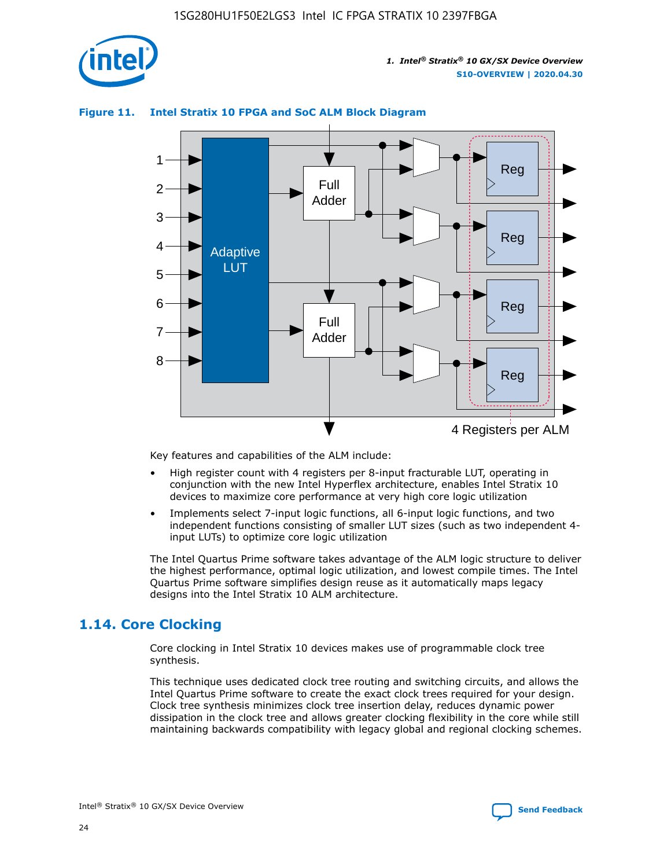

## **Figure 11. Intel Stratix 10 FPGA and SoC ALM Block Diagram**



Key features and capabilities of the ALM include:

- High register count with 4 registers per 8-input fracturable LUT, operating in conjunction with the new Intel Hyperflex architecture, enables Intel Stratix 10 devices to maximize core performance at very high core logic utilization
- Implements select 7-input logic functions, all 6-input logic functions, and two independent functions consisting of smaller LUT sizes (such as two independent 4 input LUTs) to optimize core logic utilization

The Intel Quartus Prime software takes advantage of the ALM logic structure to deliver the highest performance, optimal logic utilization, and lowest compile times. The Intel Quartus Prime software simplifies design reuse as it automatically maps legacy designs into the Intel Stratix 10 ALM architecture.

## **1.14. Core Clocking**

Core clocking in Intel Stratix 10 devices makes use of programmable clock tree synthesis.

This technique uses dedicated clock tree routing and switching circuits, and allows the Intel Quartus Prime software to create the exact clock trees required for your design. Clock tree synthesis minimizes clock tree insertion delay, reduces dynamic power dissipation in the clock tree and allows greater clocking flexibility in the core while still maintaining backwards compatibility with legacy global and regional clocking schemes.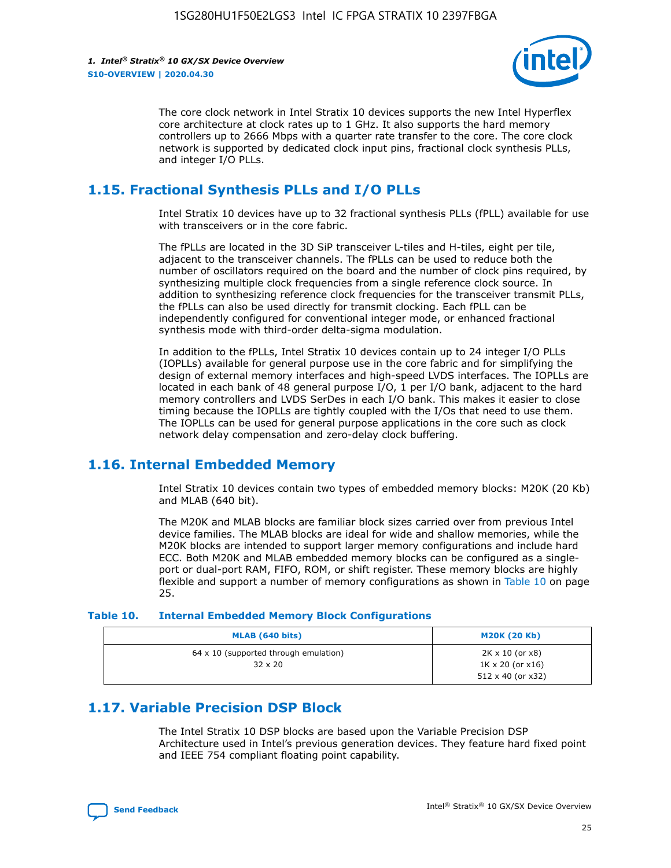

The core clock network in Intel Stratix 10 devices supports the new Intel Hyperflex core architecture at clock rates up to 1 GHz. It also supports the hard memory controllers up to 2666 Mbps with a quarter rate transfer to the core. The core clock network is supported by dedicated clock input pins, fractional clock synthesis PLLs, and integer I/O PLLs.

## **1.15. Fractional Synthesis PLLs and I/O PLLs**

Intel Stratix 10 devices have up to 32 fractional synthesis PLLs (fPLL) available for use with transceivers or in the core fabric.

The fPLLs are located in the 3D SiP transceiver L-tiles and H-tiles, eight per tile, adjacent to the transceiver channels. The fPLLs can be used to reduce both the number of oscillators required on the board and the number of clock pins required, by synthesizing multiple clock frequencies from a single reference clock source. In addition to synthesizing reference clock frequencies for the transceiver transmit PLLs, the fPLLs can also be used directly for transmit clocking. Each fPLL can be independently configured for conventional integer mode, or enhanced fractional synthesis mode with third-order delta-sigma modulation.

In addition to the fPLLs, Intel Stratix 10 devices contain up to 24 integer I/O PLLs (IOPLLs) available for general purpose use in the core fabric and for simplifying the design of external memory interfaces and high-speed LVDS interfaces. The IOPLLs are located in each bank of 48 general purpose I/O, 1 per I/O bank, adjacent to the hard memory controllers and LVDS SerDes in each I/O bank. This makes it easier to close timing because the IOPLLs are tightly coupled with the I/Os that need to use them. The IOPLLs can be used for general purpose applications in the core such as clock network delay compensation and zero-delay clock buffering.

## **1.16. Internal Embedded Memory**

Intel Stratix 10 devices contain two types of embedded memory blocks: M20K (20 Kb) and MLAB (640 bit).

The M20K and MLAB blocks are familiar block sizes carried over from previous Intel device families. The MLAB blocks are ideal for wide and shallow memories, while the M20K blocks are intended to support larger memory configurations and include hard ECC. Both M20K and MLAB embedded memory blocks can be configured as a singleport or dual-port RAM, FIFO, ROM, or shift register. These memory blocks are highly flexible and support a number of memory configurations as shown in Table 10 on page 25.

#### **Table 10. Internal Embedded Memory Block Configurations**

| MLAB (640 bits)                                                | <b>M20K (20 Kb)</b>                                                                    |
|----------------------------------------------------------------|----------------------------------------------------------------------------------------|
| $64 \times 10$ (supported through emulation)<br>$32 \times 20$ | $2K \times 10$ (or $x8$ )<br>$1K \times 20$ (or $x16$ )<br>$512 \times 40$ (or $x32$ ) |

## **1.17. Variable Precision DSP Block**

The Intel Stratix 10 DSP blocks are based upon the Variable Precision DSP Architecture used in Intel's previous generation devices. They feature hard fixed point and IEEE 754 compliant floating point capability.

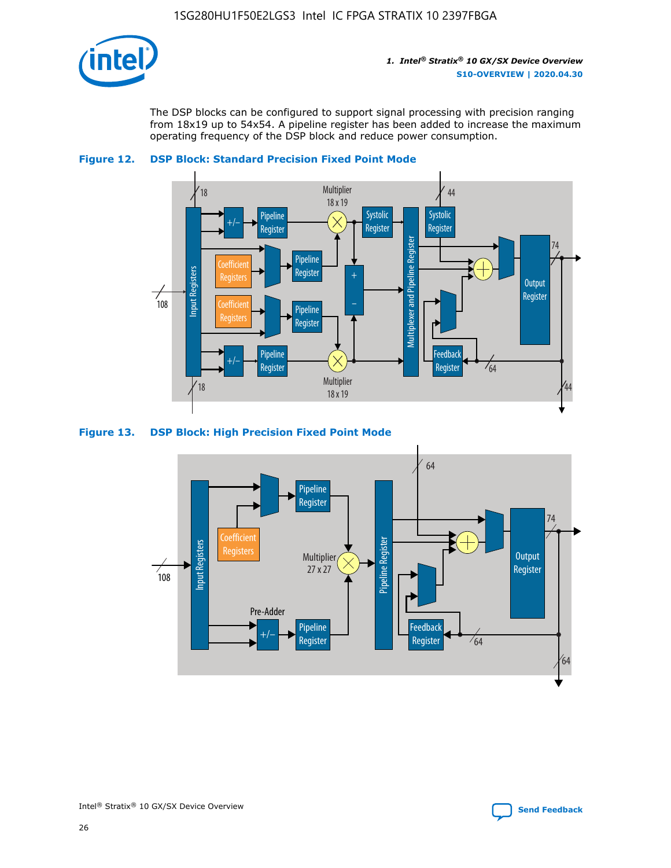

The DSP blocks can be configured to support signal processing with precision ranging from 18x19 up to 54x54. A pipeline register has been added to increase the maximum operating frequency of the DSP block and reduce power consumption.





#### **Figure 13. DSP Block: High Precision Fixed Point Mode**



Intel<sup>®</sup> Stratix<sup>®</sup> 10 GX/SX Device Overview **[Send Feedback](mailto:FPGAtechdocfeedback@intel.com?subject=Feedback%20on%20Intel%20Stratix%2010%20GX/SX%20Device%20Overview%20(S10-OVERVIEW%202020.04.30)&body=We%20appreciate%20your%20feedback.%20In%20your%20comments,%20also%20specify%20the%20page%20number%20or%20paragraph.%20Thank%20you.)** Send Feedback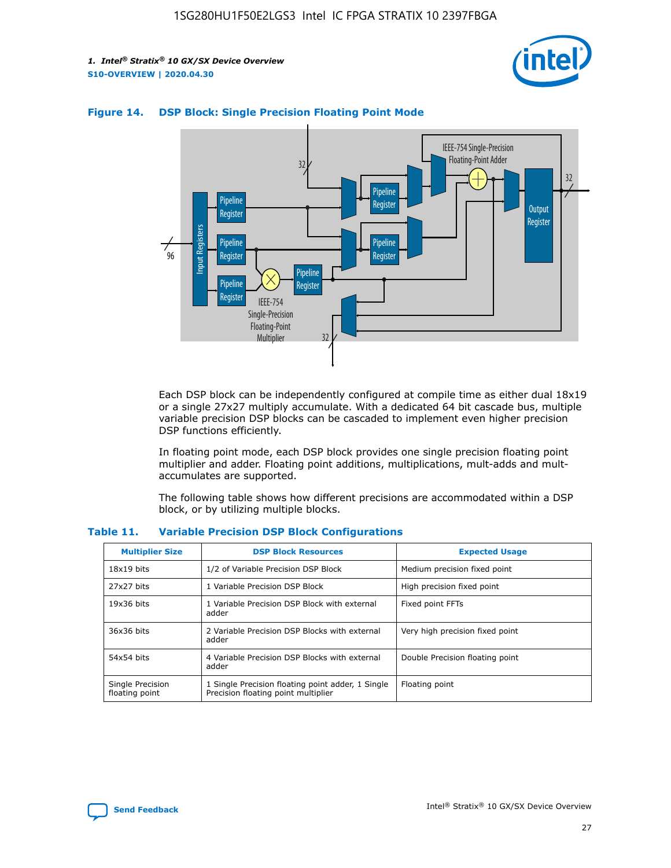



## **Figure 14. DSP Block: Single Precision Floating Point Mode**

Each DSP block can be independently configured at compile time as either dual 18x19 or a single 27x27 multiply accumulate. With a dedicated 64 bit cascade bus, multiple variable precision DSP blocks can be cascaded to implement even higher precision DSP functions efficiently.

In floating point mode, each DSP block provides one single precision floating point multiplier and adder. Floating point additions, multiplications, mult-adds and multaccumulates are supported.

The following table shows how different precisions are accommodated within a DSP block, or by utilizing multiple blocks.

| <b>Multiplier Size</b>             | <b>DSP Block Resources</b>                                                               | <b>Expected Usage</b>           |
|------------------------------------|------------------------------------------------------------------------------------------|---------------------------------|
| $18x19$ bits                       | 1/2 of Variable Precision DSP Block                                                      | Medium precision fixed point    |
| 27x27 bits                         | 1 Variable Precision DSP Block                                                           | High precision fixed point      |
| $19x36$ bits                       | 1 Variable Precision DSP Block with external<br>adder                                    | Fixed point FFTs                |
| 36x36 bits                         | 2 Variable Precision DSP Blocks with external<br>adder                                   | Very high precision fixed point |
| 54x54 bits                         | 4 Variable Precision DSP Blocks with external<br>adder                                   | Double Precision floating point |
| Single Precision<br>floating point | 1 Single Precision floating point adder, 1 Single<br>Precision floating point multiplier | Floating point                  |

#### **Table 11. Variable Precision DSP Block Configurations**

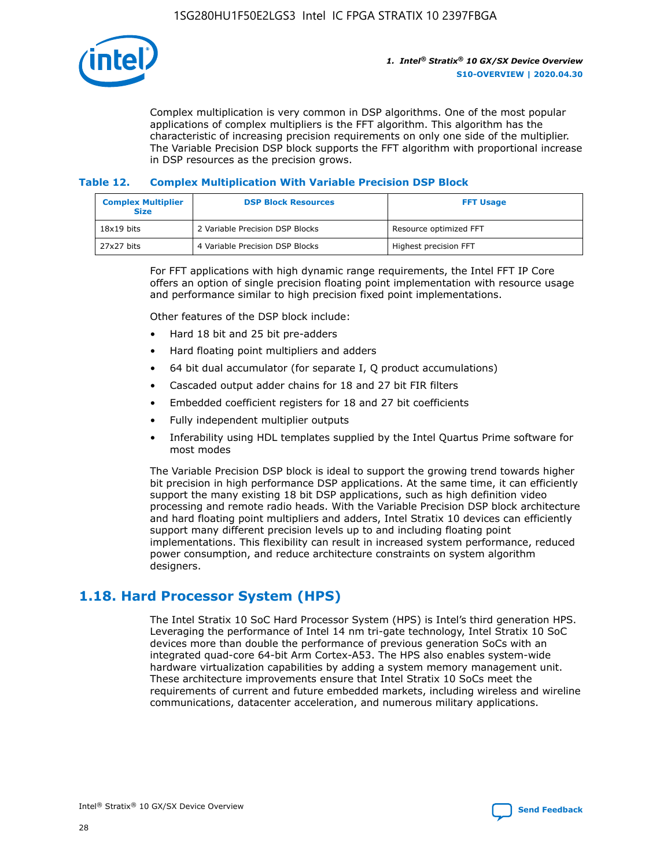

Complex multiplication is very common in DSP algorithms. One of the most popular applications of complex multipliers is the FFT algorithm. This algorithm has the characteristic of increasing precision requirements on only one side of the multiplier. The Variable Precision DSP block supports the FFT algorithm with proportional increase in DSP resources as the precision grows.

## **Table 12. Complex Multiplication With Variable Precision DSP Block**

| <b>Complex Multiplier</b><br><b>Size</b> | <b>DSP Block Resources</b>      | <b>FFT Usage</b>       |
|------------------------------------------|---------------------------------|------------------------|
| $18x19$ bits                             | 2 Variable Precision DSP Blocks | Resource optimized FFT |
| 27x27 bits                               | 4 Variable Precision DSP Blocks | Highest precision FFT  |

For FFT applications with high dynamic range requirements, the Intel FFT IP Core offers an option of single precision floating point implementation with resource usage and performance similar to high precision fixed point implementations.

Other features of the DSP block include:

- Hard 18 bit and 25 bit pre-adders
- Hard floating point multipliers and adders
- 64 bit dual accumulator (for separate I, Q product accumulations)
- Cascaded output adder chains for 18 and 27 bit FIR filters
- Embedded coefficient registers for 18 and 27 bit coefficients
- Fully independent multiplier outputs
- Inferability using HDL templates supplied by the Intel Quartus Prime software for most modes

The Variable Precision DSP block is ideal to support the growing trend towards higher bit precision in high performance DSP applications. At the same time, it can efficiently support the many existing 18 bit DSP applications, such as high definition video processing and remote radio heads. With the Variable Precision DSP block architecture and hard floating point multipliers and adders, Intel Stratix 10 devices can efficiently support many different precision levels up to and including floating point implementations. This flexibility can result in increased system performance, reduced power consumption, and reduce architecture constraints on system algorithm designers.

## **1.18. Hard Processor System (HPS)**

The Intel Stratix 10 SoC Hard Processor System (HPS) is Intel's third generation HPS. Leveraging the performance of Intel 14 nm tri-gate technology, Intel Stratix 10 SoC devices more than double the performance of previous generation SoCs with an integrated quad-core 64-bit Arm Cortex-A53. The HPS also enables system-wide hardware virtualization capabilities by adding a system memory management unit. These architecture improvements ensure that Intel Stratix 10 SoCs meet the requirements of current and future embedded markets, including wireless and wireline communications, datacenter acceleration, and numerous military applications.

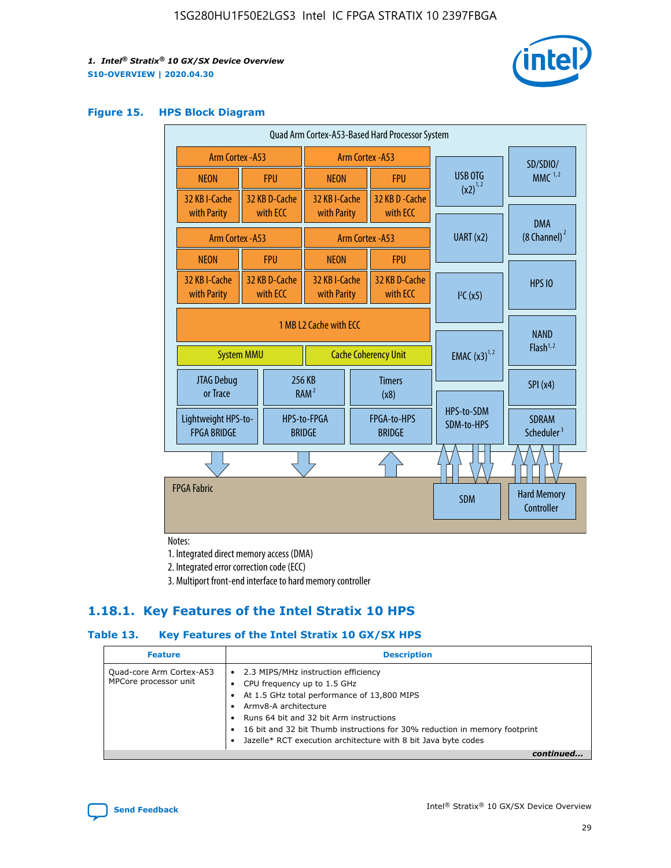

#### **Figure 15. HPS Block Diagram**

| Quad Arm Cortex-A53-Based Hard Processor System                            |  |                           |                                             |                                     |                           |                                        |                                  |
|----------------------------------------------------------------------------|--|---------------------------|---------------------------------------------|-------------------------------------|---------------------------|----------------------------------------|----------------------------------|
| <b>Arm Cortex - A53</b>                                                    |  |                           | Arm Cortex - A53                            |                                     |                           | SD/SDIO/                               |                                  |
| <b>NEON</b>                                                                |  | <b>FPU</b>                | <b>NEON</b>                                 |                                     | <b>FPU</b>                | USB OTG                                | $MMC$ <sup>1,2</sup>             |
| 32 KB I-Cache                                                              |  | 32 KB D-Cache             | 32 KB I-Cache                               |                                     | 32 KB D - Cache           | $(x2)^{1,2}$                           |                                  |
| with Parity                                                                |  | with ECC                  | with Parity                                 |                                     | with ECC                  |                                        | <b>DMA</b>                       |
| <b>Arm Cortex - A53</b>                                                    |  |                           |                                             | Arm Cortex - A53                    |                           | UART (x2)                              | $(8 \text{ Channel})^2$          |
| <b>NEON</b>                                                                |  | <b>FPU</b>                | <b>NEON</b>                                 |                                     | <b>FPU</b>                |                                        |                                  |
| 32 KB I-Cache<br>with Parity                                               |  | 32 KB D-Cache<br>with ECC | 32 KB I-Cache<br>with Parity                |                                     | 32 KB D-Cache<br>with ECC | I <sup>2</sup> C(x5)                   | <b>HPS 10</b>                    |
| 1 MB L2 Cache with ECC<br><b>System MMU</b><br><b>Cache Coherency Unit</b> |  |                           | <b>EMAC</b> $(x3)^{1,2}$                    | <b>NAND</b><br>Flash <sup>1,2</sup> |                           |                                        |                                  |
| JTAG Debug<br>or Trace                                                     |  | 256 KB                    | <b>Timers</b><br>RAM <sup>2</sup><br>(x8)   |                                     |                           | <b>SPI</b> (x4)                        |                                  |
| Lightweight HPS-to-<br><b>FPGA BRIDGE</b>                                  |  | <b>BRIDGE</b>             | FPGA-to-HPS<br>HPS-to-FPGA<br><b>BRIDGE</b> |                                     | HPS-to-SDM<br>SDM-to-HPS  | <b>SDRAM</b><br>Scheduler <sup>3</sup> |                                  |
|                                                                            |  |                           |                                             |                                     |                           |                                        |                                  |
| <b>FPGA Fabric</b>                                                         |  |                           |                                             |                                     |                           | <b>SDM</b>                             | <b>Hard Memory</b><br>Controller |

Notes:

1. Integrated direct memory access (DMA)

2. Integrated error correction code (ECC)

3. Multiport front-end interface to hard memory controller

## **1.18.1. Key Features of the Intel Stratix 10 HPS**

## **Table 13. Key Features of the Intel Stratix 10 GX/SX HPS**

| <b>Feature</b>                                    | <b>Description</b>                                                                                                                                                                                                                                                                                                                     |
|---------------------------------------------------|----------------------------------------------------------------------------------------------------------------------------------------------------------------------------------------------------------------------------------------------------------------------------------------------------------------------------------------|
| Quad-core Arm Cortex-A53<br>MPCore processor unit | • 2.3 MIPS/MHz instruction efficiency<br>CPU frequency up to 1.5 GHz<br>At 1.5 GHz total performance of 13,800 MIPS<br>Army8-A architecture<br>Runs 64 bit and 32 bit Arm instructions<br>16 bit and 32 bit Thumb instructions for 30% reduction in memory footprint<br>Jazelle* RCT execution architecture with 8 bit Java byte codes |
|                                                   |                                                                                                                                                                                                                                                                                                                                        |

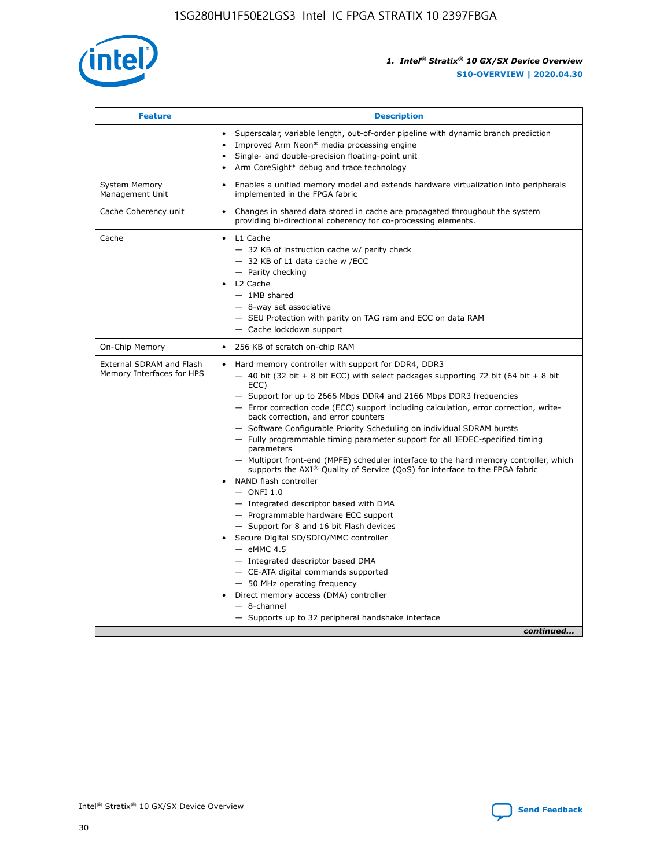

| <b>Feature</b>                                        | <b>Description</b>                                                                                                                                                                                                                                                                                                                                                                                                                                                                                                                                                                                                                                                                                                                                                                                                                                                                                                                                                                                                                                                                                                                                                                                                       |
|-------------------------------------------------------|--------------------------------------------------------------------------------------------------------------------------------------------------------------------------------------------------------------------------------------------------------------------------------------------------------------------------------------------------------------------------------------------------------------------------------------------------------------------------------------------------------------------------------------------------------------------------------------------------------------------------------------------------------------------------------------------------------------------------------------------------------------------------------------------------------------------------------------------------------------------------------------------------------------------------------------------------------------------------------------------------------------------------------------------------------------------------------------------------------------------------------------------------------------------------------------------------------------------------|
|                                                       | Superscalar, variable length, out-of-order pipeline with dynamic branch prediction<br>Improved Arm Neon* media processing engine<br>$\bullet$<br>Single- and double-precision floating-point unit<br>Arm CoreSight* debug and trace technology                                                                                                                                                                                                                                                                                                                                                                                                                                                                                                                                                                                                                                                                                                                                                                                                                                                                                                                                                                           |
| <b>System Memory</b><br>Management Unit               | Enables a unified memory model and extends hardware virtualization into peripherals<br>$\bullet$<br>implemented in the FPGA fabric                                                                                                                                                                                                                                                                                                                                                                                                                                                                                                                                                                                                                                                                                                                                                                                                                                                                                                                                                                                                                                                                                       |
| Cache Coherency unit                                  | Changes in shared data stored in cache are propagated throughout the system<br>$\bullet$<br>providing bi-directional coherency for co-processing elements.                                                                                                                                                                                                                                                                                                                                                                                                                                                                                                                                                                                                                                                                                                                                                                                                                                                                                                                                                                                                                                                               |
| Cache                                                 | L1 Cache<br>$\bullet$<br>- 32 KB of instruction cache w/ parity check<br>- 32 KB of L1 data cache w /ECC<br>- Parity checking<br>L2 Cache<br>$-$ 1MB shared<br>- 8-way set associative<br>- SEU Protection with parity on TAG ram and ECC on data RAM<br>- Cache lockdown support                                                                                                                                                                                                                                                                                                                                                                                                                                                                                                                                                                                                                                                                                                                                                                                                                                                                                                                                        |
| On-Chip Memory                                        | 256 KB of scratch on-chip RAM<br>$\bullet$                                                                                                                                                                                                                                                                                                                                                                                                                                                                                                                                                                                                                                                                                                                                                                                                                                                                                                                                                                                                                                                                                                                                                                               |
| External SDRAM and Flash<br>Memory Interfaces for HPS | Hard memory controller with support for DDR4, DDR3<br>$\bullet$<br>$-$ 40 bit (32 bit + 8 bit ECC) with select packages supporting 72 bit (64 bit + 8 bit<br>ECC)<br>- Support for up to 2666 Mbps DDR4 and 2166 Mbps DDR3 frequencies<br>- Error correction code (ECC) support including calculation, error correction, write-<br>back correction, and error counters<br>- Software Configurable Priority Scheduling on individual SDRAM bursts<br>- Fully programmable timing parameter support for all JEDEC-specified timing<br>parameters<br>- Multiport front-end (MPFE) scheduler interface to the hard memory controller, which<br>supports the $AXI^{\circledR}$ Quality of Service (QoS) for interface to the FPGA fabric<br>NAND flash controller<br>$-$ ONFI 1.0<br>- Integrated descriptor based with DMA<br>- Programmable hardware ECC support<br>- Support for 8 and 16 bit Flash devices<br>Secure Digital SD/SDIO/MMC controller<br>$-$ eMMC 4.5<br>- Integrated descriptor based DMA<br>- CE-ATA digital commands supported<br>- 50 MHz operating frequency<br>Direct memory access (DMA) controller<br>$\bullet$<br>$-$ 8-channel<br>- Supports up to 32 peripheral handshake interface<br>continued |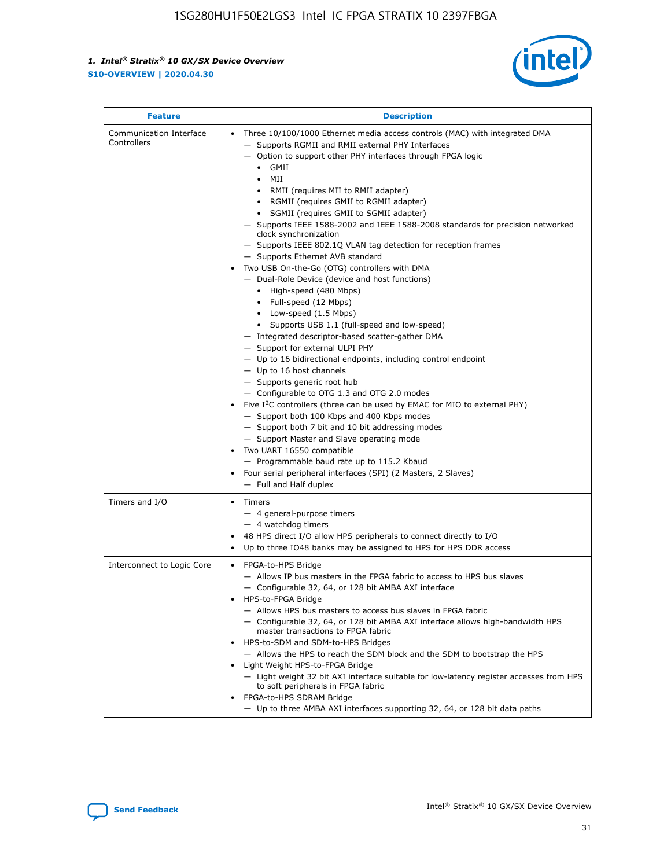

| <b>Feature</b>                         | <b>Description</b>                                                                                                                                                                                                                                                                                                                                                                                                                                                                                                                                                                                                                                                                                                                                                                                                                                                                                                                                                                                                                                                                                                                                                                                                                                                                                                                                                                                                                                                                                                     |
|----------------------------------------|------------------------------------------------------------------------------------------------------------------------------------------------------------------------------------------------------------------------------------------------------------------------------------------------------------------------------------------------------------------------------------------------------------------------------------------------------------------------------------------------------------------------------------------------------------------------------------------------------------------------------------------------------------------------------------------------------------------------------------------------------------------------------------------------------------------------------------------------------------------------------------------------------------------------------------------------------------------------------------------------------------------------------------------------------------------------------------------------------------------------------------------------------------------------------------------------------------------------------------------------------------------------------------------------------------------------------------------------------------------------------------------------------------------------------------------------------------------------------------------------------------------------|
| Communication Interface<br>Controllers | Three 10/100/1000 Ethernet media access controls (MAC) with integrated DMA<br>$\bullet$<br>- Supports RGMII and RMII external PHY Interfaces<br>- Option to support other PHY interfaces through FPGA logic<br>$\bullet$ GMII<br>MII<br>$\bullet$<br>RMII (requires MII to RMII adapter)<br>$\bullet$<br>• RGMII (requires GMII to RGMII adapter)<br>SGMII (requires GMII to SGMII adapter)<br>- Supports IEEE 1588-2002 and IEEE 1588-2008 standards for precision networked<br>clock synchronization<br>- Supports IEEE 802.1Q VLAN tag detection for reception frames<br>- Supports Ethernet AVB standard<br>Two USB On-the-Go (OTG) controllers with DMA<br>- Dual-Role Device (device and host functions)<br>• High-speed (480 Mbps)<br>• Full-speed (12 Mbps)<br>• Low-speed (1.5 Mbps)<br>• Supports USB 1.1 (full-speed and low-speed)<br>- Integrated descriptor-based scatter-gather DMA<br>- Support for external ULPI PHY<br>- Up to 16 bidirectional endpoints, including control endpoint<br>$-$ Up to 16 host channels<br>- Supports generic root hub<br>- Configurable to OTG 1.3 and OTG 2.0 modes<br>Five $I2C$ controllers (three can be used by EMAC for MIO to external PHY)<br>- Support both 100 Kbps and 400 Kbps modes<br>- Support both 7 bit and 10 bit addressing modes<br>- Support Master and Slave operating mode<br>Two UART 16550 compatible<br>- Programmable baud rate up to 115.2 Kbaud<br>Four serial peripheral interfaces (SPI) (2 Masters, 2 Slaves)<br>- Full and Half duplex |
| Timers and I/O                         | Timers<br>$\bullet$<br>- 4 general-purpose timers<br>$-4$ watchdog timers<br>48 HPS direct I/O allow HPS peripherals to connect directly to I/O<br>Up to three IO48 banks may be assigned to HPS for HPS DDR access                                                                                                                                                                                                                                                                                                                                                                                                                                                                                                                                                                                                                                                                                                                                                                                                                                                                                                                                                                                                                                                                                                                                                                                                                                                                                                    |
| Interconnect to Logic Core             | • FPGA-to-HPS Bridge<br>- Allows IP bus masters in the FPGA fabric to access to HPS bus slaves<br>- Configurable 32, 64, or 128 bit AMBA AXI interface<br>HPS-to-FPGA Bridge<br>- Allows HPS bus masters to access bus slaves in FPGA fabric<br>- Configurable 32, 64, or 128 bit AMBA AXI interface allows high-bandwidth HPS<br>master transactions to FPGA fabric<br>HPS-to-SDM and SDM-to-HPS Bridges<br>- Allows the HPS to reach the SDM block and the SDM to bootstrap the HPS<br>Light Weight HPS-to-FPGA Bridge<br>- Light weight 32 bit AXI interface suitable for low-latency register accesses from HPS<br>to soft peripherals in FPGA fabric<br>FPGA-to-HPS SDRAM Bridge<br>- Up to three AMBA AXI interfaces supporting 32, 64, or 128 bit data paths                                                                                                                                                                                                                                                                                                                                                                                                                                                                                                                                                                                                                                                                                                                                                    |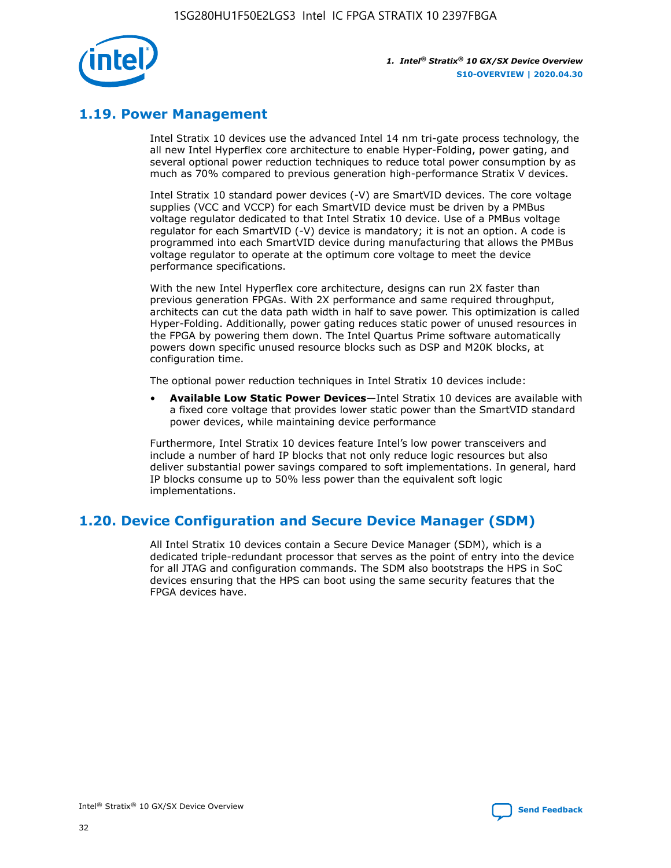

## **1.19. Power Management**

Intel Stratix 10 devices use the advanced Intel 14 nm tri-gate process technology, the all new Intel Hyperflex core architecture to enable Hyper-Folding, power gating, and several optional power reduction techniques to reduce total power consumption by as much as 70% compared to previous generation high-performance Stratix V devices.

Intel Stratix 10 standard power devices (-V) are SmartVID devices. The core voltage supplies (VCC and VCCP) for each SmartVID device must be driven by a PMBus voltage regulator dedicated to that Intel Stratix 10 device. Use of a PMBus voltage regulator for each SmartVID (-V) device is mandatory; it is not an option. A code is programmed into each SmartVID device during manufacturing that allows the PMBus voltage regulator to operate at the optimum core voltage to meet the device performance specifications.

With the new Intel Hyperflex core architecture, designs can run 2X faster than previous generation FPGAs. With 2X performance and same required throughput, architects can cut the data path width in half to save power. This optimization is called Hyper-Folding. Additionally, power gating reduces static power of unused resources in the FPGA by powering them down. The Intel Quartus Prime software automatically powers down specific unused resource blocks such as DSP and M20K blocks, at configuration time.

The optional power reduction techniques in Intel Stratix 10 devices include:

• **Available Low Static Power Devices**—Intel Stratix 10 devices are available with a fixed core voltage that provides lower static power than the SmartVID standard power devices, while maintaining device performance

Furthermore, Intel Stratix 10 devices feature Intel's low power transceivers and include a number of hard IP blocks that not only reduce logic resources but also deliver substantial power savings compared to soft implementations. In general, hard IP blocks consume up to 50% less power than the equivalent soft logic implementations.

## **1.20. Device Configuration and Secure Device Manager (SDM)**

All Intel Stratix 10 devices contain a Secure Device Manager (SDM), which is a dedicated triple-redundant processor that serves as the point of entry into the device for all JTAG and configuration commands. The SDM also bootstraps the HPS in SoC devices ensuring that the HPS can boot using the same security features that the FPGA devices have.

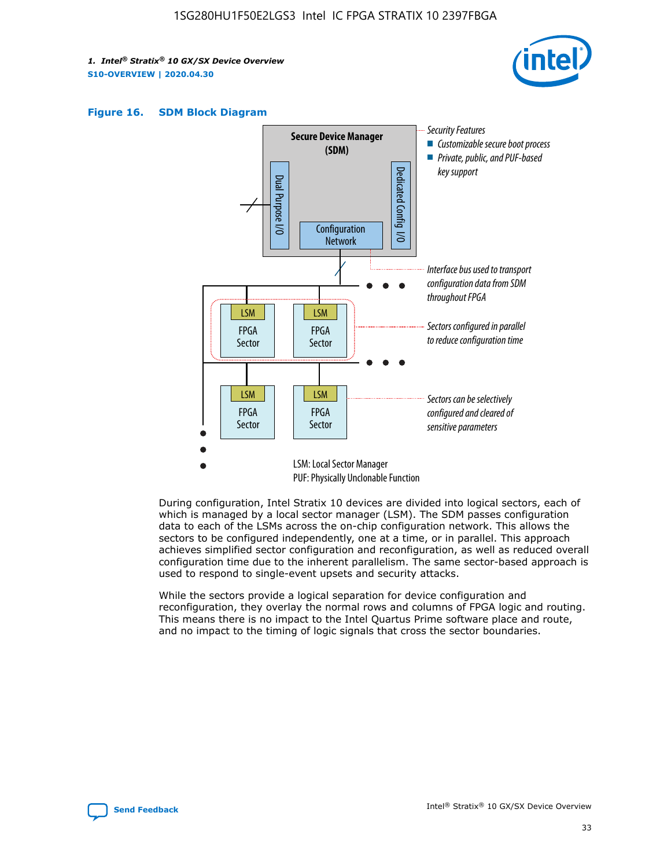





During configuration, Intel Stratix 10 devices are divided into logical sectors, each of which is managed by a local sector manager (LSM). The SDM passes configuration data to each of the LSMs across the on-chip configuration network. This allows the sectors to be configured independently, one at a time, or in parallel. This approach achieves simplified sector configuration and reconfiguration, as well as reduced overall configuration time due to the inherent parallelism. The same sector-based approach is used to respond to single-event upsets and security attacks.

While the sectors provide a logical separation for device configuration and reconfiguration, they overlay the normal rows and columns of FPGA logic and routing. This means there is no impact to the Intel Quartus Prime software place and route, and no impact to the timing of logic signals that cross the sector boundaries.

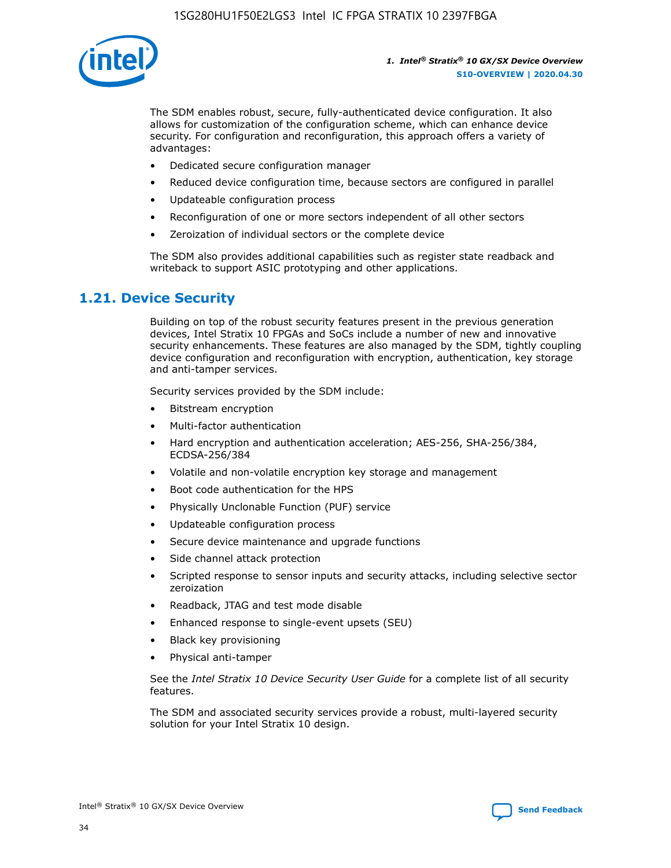

The SDM enables robust, secure, fully-authenticated device configuration. It also allows for customization of the configuration scheme, which can enhance device security. For configuration and reconfiguration, this approach offers a variety of advantages:

- Dedicated secure configuration manager
- Reduced device configuration time, because sectors are configured in parallel
- Updateable configuration process
- Reconfiguration of one or more sectors independent of all other sectors
- Zeroization of individual sectors or the complete device

The SDM also provides additional capabilities such as register state readback and writeback to support ASIC prototyping and other applications.

## **1.21. Device Security**

Building on top of the robust security features present in the previous generation devices, Intel Stratix 10 FPGAs and SoCs include a number of new and innovative security enhancements. These features are also managed by the SDM, tightly coupling device configuration and reconfiguration with encryption, authentication, key storage and anti-tamper services.

Security services provided by the SDM include:

- Bitstream encryption
- Multi-factor authentication
- Hard encryption and authentication acceleration; AES-256, SHA-256/384, ECDSA-256/384
- Volatile and non-volatile encryption key storage and management
- Boot code authentication for the HPS
- Physically Unclonable Function (PUF) service
- Updateable configuration process
- Secure device maintenance and upgrade functions
- Side channel attack protection
- Scripted response to sensor inputs and security attacks, including selective sector zeroization
- Readback, JTAG and test mode disable
- Enhanced response to single-event upsets (SEU)
- Black key provisioning
- Physical anti-tamper

See the *Intel Stratix 10 Device Security User Guide* for a complete list of all security features.

The SDM and associated security services provide a robust, multi-layered security solution for your Intel Stratix 10 design.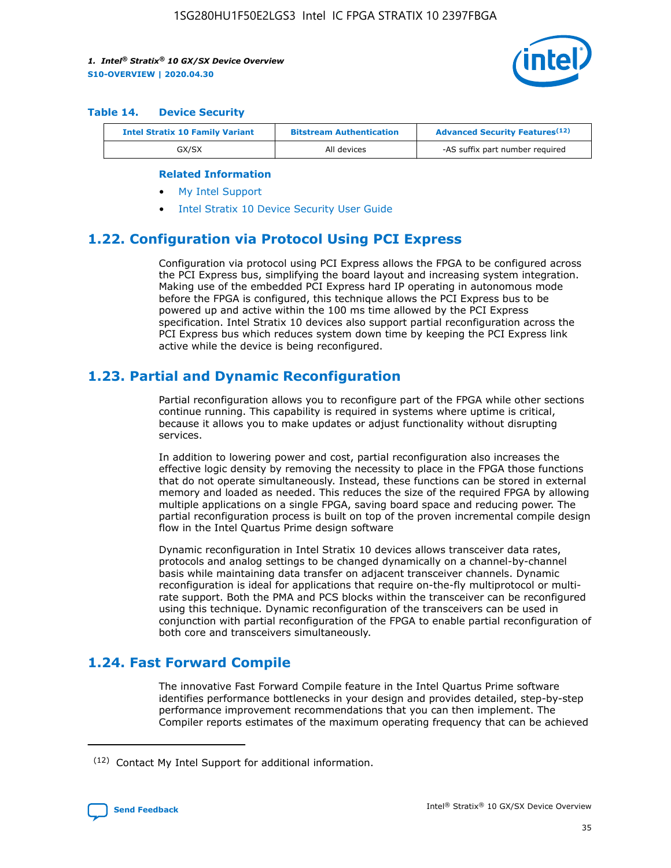

#### **Table 14. Device Security**

| <b>Intel Stratix 10 Family Variant</b> | <b>Bitstream Authentication</b> | <b>Advanced Security Features</b> <sup>(12)</sup> |
|----------------------------------------|---------------------------------|---------------------------------------------------|
| GX/SX                                  | All devices                     | -AS suffix part number required                   |

#### **Related Information**

- [My Intel Support](https://www.intel.com/content/www/us/en/programmable/my-intel/mal-home.html)
- [Intel Stratix 10 Device Security User Guide](https://www.intel.com/content/www/us/en/programmable/documentation/ndq1483601370898.html#wcd1483611014402)

## **1.22. Configuration via Protocol Using PCI Express**

Configuration via protocol using PCI Express allows the FPGA to be configured across the PCI Express bus, simplifying the board layout and increasing system integration. Making use of the embedded PCI Express hard IP operating in autonomous mode before the FPGA is configured, this technique allows the PCI Express bus to be powered up and active within the 100 ms time allowed by the PCI Express specification. Intel Stratix 10 devices also support partial reconfiguration across the PCI Express bus which reduces system down time by keeping the PCI Express link active while the device is being reconfigured.

## **1.23. Partial and Dynamic Reconfiguration**

Partial reconfiguration allows you to reconfigure part of the FPGA while other sections continue running. This capability is required in systems where uptime is critical, because it allows you to make updates or adjust functionality without disrupting services.

In addition to lowering power and cost, partial reconfiguration also increases the effective logic density by removing the necessity to place in the FPGA those functions that do not operate simultaneously. Instead, these functions can be stored in external memory and loaded as needed. This reduces the size of the required FPGA by allowing multiple applications on a single FPGA, saving board space and reducing power. The partial reconfiguration process is built on top of the proven incremental compile design flow in the Intel Quartus Prime design software

Dynamic reconfiguration in Intel Stratix 10 devices allows transceiver data rates, protocols and analog settings to be changed dynamically on a channel-by-channel basis while maintaining data transfer on adjacent transceiver channels. Dynamic reconfiguration is ideal for applications that require on-the-fly multiprotocol or multirate support. Both the PMA and PCS blocks within the transceiver can be reconfigured using this technique. Dynamic reconfiguration of the transceivers can be used in conjunction with partial reconfiguration of the FPGA to enable partial reconfiguration of both core and transceivers simultaneously.

## **1.24. Fast Forward Compile**

The innovative Fast Forward Compile feature in the Intel Quartus Prime software identifies performance bottlenecks in your design and provides detailed, step-by-step performance improvement recommendations that you can then implement. The Compiler reports estimates of the maximum operating frequency that can be achieved

<sup>(12)</sup> Contact My Intel Support for additional information.

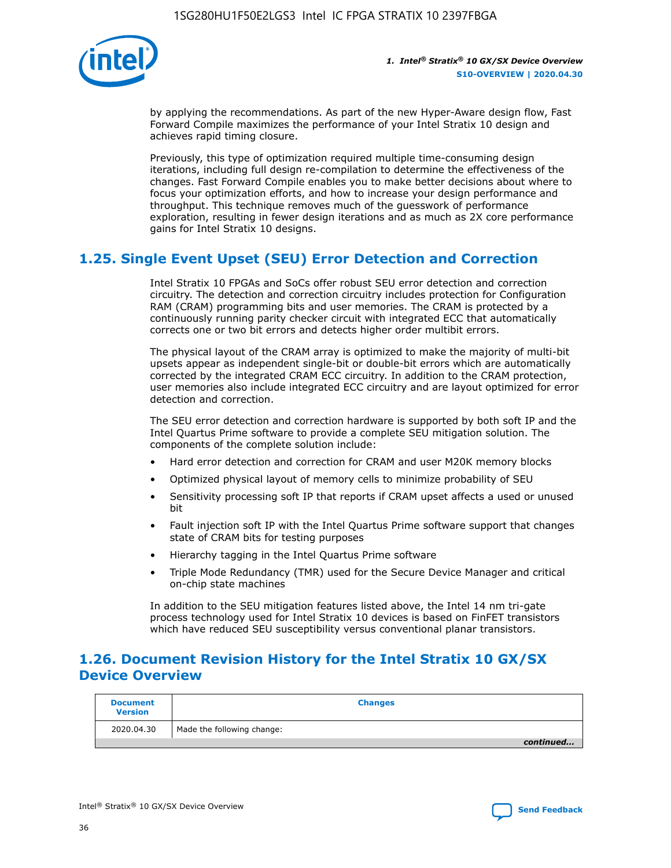

by applying the recommendations. As part of the new Hyper-Aware design flow, Fast Forward Compile maximizes the performance of your Intel Stratix 10 design and achieves rapid timing closure.

Previously, this type of optimization required multiple time-consuming design iterations, including full design re-compilation to determine the effectiveness of the changes. Fast Forward Compile enables you to make better decisions about where to focus your optimization efforts, and how to increase your design performance and throughput. This technique removes much of the guesswork of performance exploration, resulting in fewer design iterations and as much as 2X core performance gains for Intel Stratix 10 designs.

## **1.25. Single Event Upset (SEU) Error Detection and Correction**

Intel Stratix 10 FPGAs and SoCs offer robust SEU error detection and correction circuitry. The detection and correction circuitry includes protection for Configuration RAM (CRAM) programming bits and user memories. The CRAM is protected by a continuously running parity checker circuit with integrated ECC that automatically corrects one or two bit errors and detects higher order multibit errors.

The physical layout of the CRAM array is optimized to make the majority of multi-bit upsets appear as independent single-bit or double-bit errors which are automatically corrected by the integrated CRAM ECC circuitry. In addition to the CRAM protection, user memories also include integrated ECC circuitry and are layout optimized for error detection and correction.

The SEU error detection and correction hardware is supported by both soft IP and the Intel Quartus Prime software to provide a complete SEU mitigation solution. The components of the complete solution include:

- Hard error detection and correction for CRAM and user M20K memory blocks
- Optimized physical layout of memory cells to minimize probability of SEU
- Sensitivity processing soft IP that reports if CRAM upset affects a used or unused bit
- Fault injection soft IP with the Intel Quartus Prime software support that changes state of CRAM bits for testing purposes
- Hierarchy tagging in the Intel Quartus Prime software
- Triple Mode Redundancy (TMR) used for the Secure Device Manager and critical on-chip state machines

In addition to the SEU mitigation features listed above, the Intel 14 nm tri-gate process technology used for Intel Stratix 10 devices is based on FinFET transistors which have reduced SEU susceptibility versus conventional planar transistors.

## **1.26. Document Revision History for the Intel Stratix 10 GX/SX Device Overview**

| <b>Document</b><br><b>Version</b> | <b>Changes</b>             |
|-----------------------------------|----------------------------|
| 2020.04.30                        | Made the following change: |
|                                   | continued                  |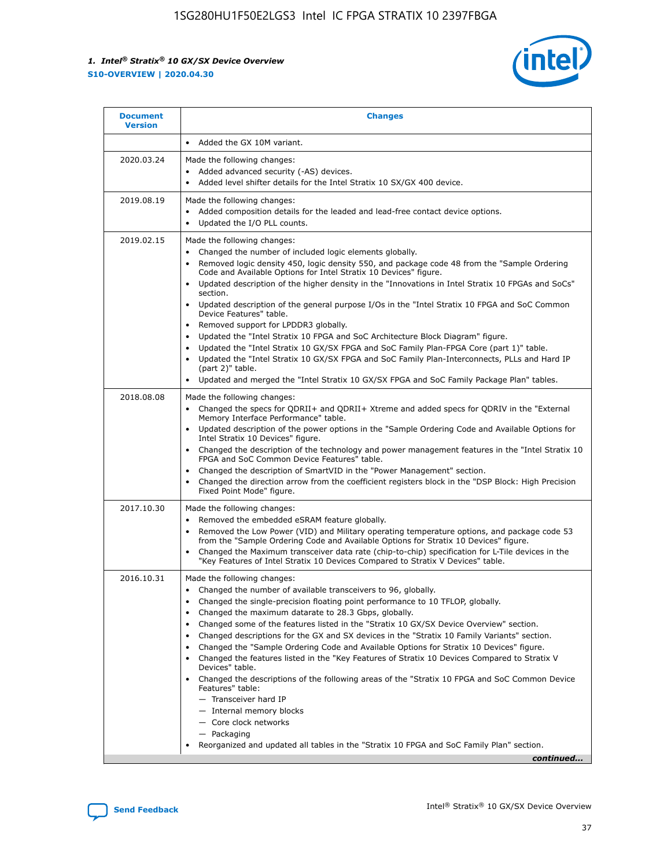

| <b>Document</b><br><b>Version</b> | <b>Changes</b>                                                                                                                                                                                                                                                                                                                                                                                                                                                                                                                                                                                                                                                                                                                                                                                                                                                                                                                                                                                      |
|-----------------------------------|-----------------------------------------------------------------------------------------------------------------------------------------------------------------------------------------------------------------------------------------------------------------------------------------------------------------------------------------------------------------------------------------------------------------------------------------------------------------------------------------------------------------------------------------------------------------------------------------------------------------------------------------------------------------------------------------------------------------------------------------------------------------------------------------------------------------------------------------------------------------------------------------------------------------------------------------------------------------------------------------------------|
|                                   | Added the GX 10M variant.                                                                                                                                                                                                                                                                                                                                                                                                                                                                                                                                                                                                                                                                                                                                                                                                                                                                                                                                                                           |
| 2020.03.24                        | Made the following changes:<br>Added advanced security (-AS) devices.<br>Added level shifter details for the Intel Stratix 10 SX/GX 400 device.                                                                                                                                                                                                                                                                                                                                                                                                                                                                                                                                                                                                                                                                                                                                                                                                                                                     |
| 2019.08.19                        | Made the following changes:<br>Added composition details for the leaded and lead-free contact device options.<br>$\bullet$<br>Updated the I/O PLL counts.                                                                                                                                                                                                                                                                                                                                                                                                                                                                                                                                                                                                                                                                                                                                                                                                                                           |
| 2019.02.15                        | Made the following changes:<br>Changed the number of included logic elements globally.<br>$\bullet$<br>Removed logic density 450, logic density 550, and package code 48 from the "Sample Ordering<br>$\bullet$<br>Code and Available Options for Intel Stratix 10 Devices" figure.<br>Updated description of the higher density in the "Innovations in Intel Stratix 10 FPGAs and SoCs"<br>section.<br>Updated description of the general purpose I/Os in the "Intel Stratix 10 FPGA and SoC Common<br>$\bullet$<br>Device Features" table.<br>Removed support for LPDDR3 globally.<br>Updated the "Intel Stratix 10 FPGA and SoC Architecture Block Diagram" figure.<br>$\bullet$<br>Updated the "Intel Stratix 10 GX/SX FPGA and SoC Family Plan-FPGA Core (part 1)" table.<br>٠<br>Updated the "Intel Stratix 10 GX/SX FPGA and SoC Family Plan-Interconnects, PLLs and Hard IP<br>(part 2)" table.<br>Updated and merged the "Intel Stratix 10 GX/SX FPGA and SoC Family Package Plan" tables. |
| 2018.08.08                        | Made the following changes:<br>Changed the specs for QDRII+ and QDRII+ Xtreme and added specs for QDRIV in the "External<br>$\bullet$<br>Memory Interface Performance" table.<br>Updated description of the power options in the "Sample Ordering Code and Available Options for<br>Intel Stratix 10 Devices" figure.<br>Changed the description of the technology and power management features in the "Intel Stratix 10<br>FPGA and SoC Common Device Features" table.<br>Changed the description of SmartVID in the "Power Management" section.<br>Changed the direction arrow from the coefficient registers block in the "DSP Block: High Precision<br>٠<br>Fixed Point Mode" figure.                                                                                                                                                                                                                                                                                                          |
| 2017.10.30                        | Made the following changes:<br>Removed the embedded eSRAM feature globally.<br>$\bullet$<br>Removed the Low Power (VID) and Military operating temperature options, and package code 53<br>٠<br>from the "Sample Ordering Code and Available Options for Stratix 10 Devices" figure.<br>Changed the Maximum transceiver data rate (chip-to-chip) specification for L-Tile devices in the<br>"Key Features of Intel Stratix 10 Devices Compared to Stratix V Devices" table.                                                                                                                                                                                                                                                                                                                                                                                                                                                                                                                         |
| 2016.10.31                        | Made the following changes:<br>• Changed the number of available transceivers to 96, globally.<br>Changed the single-precision floating point performance to 10 TFLOP, globally.<br>Changed the maximum datarate to 28.3 Gbps, globally.<br>٠<br>Changed some of the features listed in the "Stratix 10 GX/SX Device Overview" section.<br>٠<br>Changed descriptions for the GX and SX devices in the "Stratix 10 Family Variants" section.<br>٠<br>Changed the "Sample Ordering Code and Available Options for Stratix 10 Devices" figure.<br>Changed the features listed in the "Key Features of Stratix 10 Devices Compared to Stratix V<br>Devices" table.<br>Changed the descriptions of the following areas of the "Stratix 10 FPGA and SoC Common Device<br>Features" table:<br>- Transceiver hard IP<br>- Internal memory blocks<br>- Core clock networks<br>- Packaging<br>Reorganized and updated all tables in the "Stratix 10 FPGA and SoC Family Plan" section.                        |
|                                   | continued                                                                                                                                                                                                                                                                                                                                                                                                                                                                                                                                                                                                                                                                                                                                                                                                                                                                                                                                                                                           |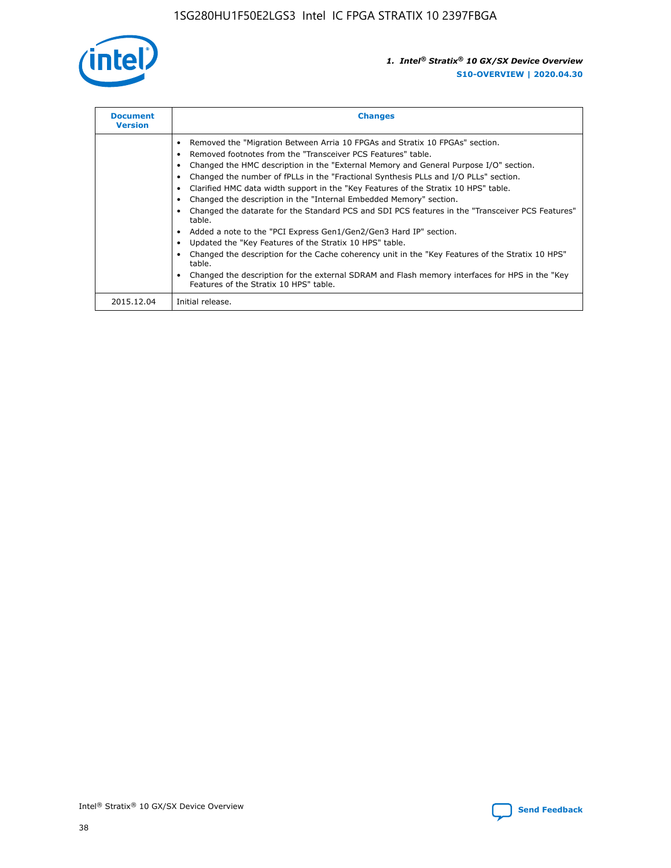

| <b>Document</b><br><b>Version</b> | <b>Changes</b>                                                                                                                                                                                                                                                                                                                                                                                                                                                                                                                                                                                                                                                                                                                                                                                                                                                                                                                                                                                     |
|-----------------------------------|----------------------------------------------------------------------------------------------------------------------------------------------------------------------------------------------------------------------------------------------------------------------------------------------------------------------------------------------------------------------------------------------------------------------------------------------------------------------------------------------------------------------------------------------------------------------------------------------------------------------------------------------------------------------------------------------------------------------------------------------------------------------------------------------------------------------------------------------------------------------------------------------------------------------------------------------------------------------------------------------------|
|                                   | Removed the "Migration Between Arria 10 FPGAs and Stratix 10 FPGAs" section.<br>Removed footnotes from the "Transceiver PCS Features" table.<br>Changed the HMC description in the "External Memory and General Purpose I/O" section.<br>Changed the number of fPLLs in the "Fractional Synthesis PLLs and I/O PLLs" section.<br>Clarified HMC data width support in the "Key Features of the Stratix 10 HPS" table.<br>Changed the description in the "Internal Embedded Memory" section.<br>Changed the datarate for the Standard PCS and SDI PCS features in the "Transceiver PCS Features"<br>table.<br>Added a note to the "PCI Express Gen1/Gen2/Gen3 Hard IP" section.<br>Updated the "Key Features of the Stratix 10 HPS" table.<br>Changed the description for the Cache coherency unit in the "Key Features of the Stratix 10 HPS"<br>table.<br>Changed the description for the external SDRAM and Flash memory interfaces for HPS in the "Key<br>Features of the Stratix 10 HPS" table. |
| 2015.12.04                        | Initial release.                                                                                                                                                                                                                                                                                                                                                                                                                                                                                                                                                                                                                                                                                                                                                                                                                                                                                                                                                                                   |